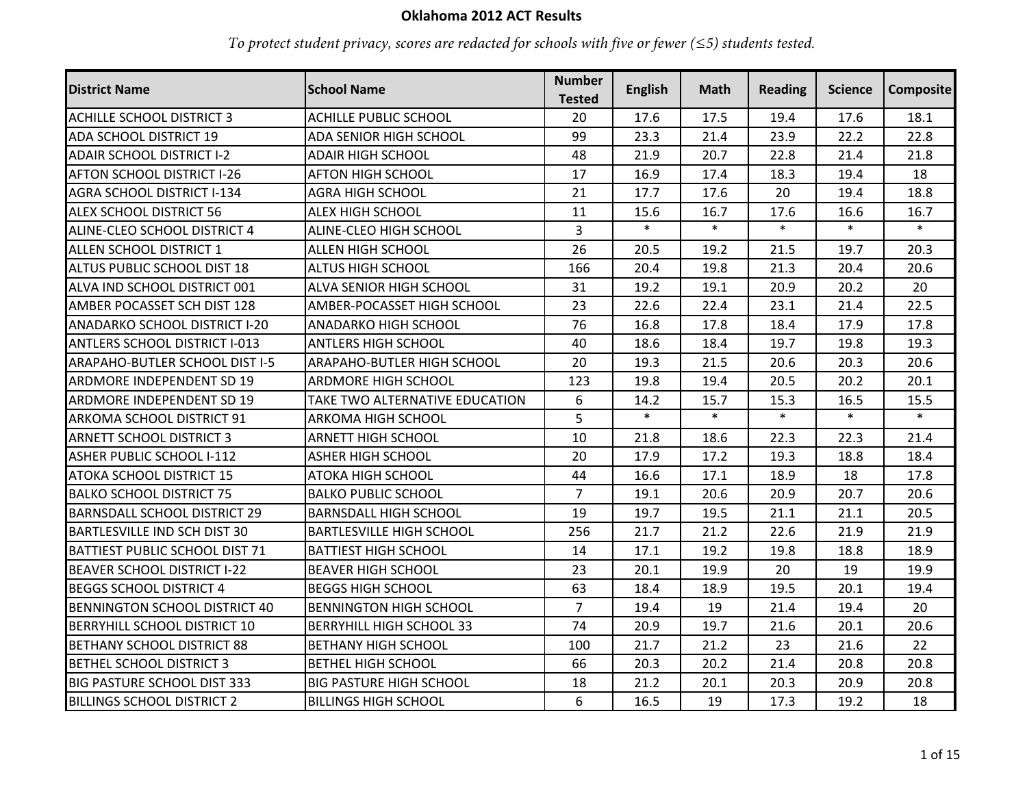## **Oklahoma 2012 ACT Results**

*To protect student privacy, scores are redacted for schools with five or fewer (≤5) students tested.*

| <b>District Name</b>                  | <b>School Name</b>              | <b>Number</b><br><b>Tested</b> | <b>English</b> | Math   | <b>Reading</b> | <b>Science</b> | Composite |
|---------------------------------------|---------------------------------|--------------------------------|----------------|--------|----------------|----------------|-----------|
| <b>ACHILLE SCHOOL DISTRICT 3</b>      | <b>ACHILLE PUBLIC SCHOOL</b>    | 20                             | 17.6           | 17.5   | 19.4           | 17.6           | 18.1      |
| <b>ADA SCHOOL DISTRICT 19</b>         | <b>ADA SENIOR HIGH SCHOOL</b>   | 99                             | 23.3           | 21.4   | 23.9           | 22.2           | 22.8      |
| <b>ADAIR SCHOOL DISTRICT I-2</b>      | <b>ADAIR HIGH SCHOOL</b>        | 48                             | 21.9           | 20.7   | 22.8           | 21.4           | 21.8      |
| <b>AFTON SCHOOL DISTRICT I-26</b>     | <b>AFTON HIGH SCHOOL</b>        | 17                             | 16.9           | 17.4   | 18.3           | 19.4           | 18        |
| AGRA SCHOOL DISTRICT I-134            | <b>AGRA HIGH SCHOOL</b>         | 21                             | 17.7           | 17.6   | 20             | 19.4           | 18.8      |
| <b>ALEX SCHOOL DISTRICT 56</b>        | <b>ALEX HIGH SCHOOL</b>         | 11                             | 15.6           | 16.7   | 17.6           | 16.6           | 16.7      |
| ALINE-CLEO SCHOOL DISTRICT 4          | ALINE-CLEO HIGH SCHOOL          | $\overline{3}$                 | $\ast$         | $\ast$ | $\ast$         | $\ast$         | $\ast$    |
| <b>ALLEN SCHOOL DISTRICT 1</b>        | <b>ALLEN HIGH SCHOOL</b>        | 26                             | 20.5           | 19.2   | 21.5           | 19.7           | 20.3      |
| <b>ALTUS PUBLIC SCHOOL DIST 18</b>    | <b>ALTUS HIGH SCHOOL</b>        | 166                            | 20.4           | 19.8   | 21.3           | 20.4           | 20.6      |
| ALVA IND SCHOOL DISTRICT 001          | ALVA SENIOR HIGH SCHOOL         | 31                             | 19.2           | 19.1   | 20.9           | 20.2           | 20        |
| AMBER POCASSET SCH DIST 128           | AMBER-POCASSET HIGH SCHOOL      | 23                             | 22.6           | 22.4   | 23.1           | 21.4           | 22.5      |
| <b>ANADARKO SCHOOL DISTRICT I-20</b>  | ANADARKO HIGH SCHOOL            | 76                             | 16.8           | 17.8   | 18.4           | 17.9           | 17.8      |
| <b>ANTLERS SCHOOL DISTRICT I-013</b>  | <b>ANTLERS HIGH SCHOOL</b>      | 40                             | 18.6           | 18.4   | 19.7           | 19.8           | 19.3      |
| <b>ARAPAHO-BUTLER SCHOOL DIST I-5</b> | ARAPAHO-BUTLER HIGH SCHOOL      | 20                             | 19.3           | 21.5   | 20.6           | 20.3           | 20.6      |
| <b>ARDMORE INDEPENDENT SD 19</b>      | ARDMORE HIGH SCHOOL             | 123                            | 19.8           | 19.4   | 20.5           | 20.2           | 20.1      |
| <b>ARDMORE INDEPENDENT SD 19</b>      | TAKE TWO ALTERNATIVE EDUCATION  | 6                              | 14.2           | 15.7   | 15.3           | 16.5           | 15.5      |
| <b>ARKOMA SCHOOL DISTRICT 91</b>      | ARKOMA HIGH SCHOOL              | 5                              | $\ast$         | $\ast$ | $\ast$         | $\ast$         | $\ast$    |
| <b>ARNETT SCHOOL DISTRICT 3</b>       | <b>ARNETT HIGH SCHOOL</b>       | 10                             | 21.8           | 18.6   | 22.3           | 22.3           | 21.4      |
| ASHER PUBLIC SCHOOL I-112             | <b>ASHER HIGH SCHOOL</b>        | 20                             | 17.9           | 17.2   | 19.3           | 18.8           | 18.4      |
| <b>ATOKA SCHOOL DISTRICT 15</b>       | ATOKA HIGH SCHOOL               | 44                             | 16.6           | 17.1   | 18.9           | 18             | 17.8      |
| <b>BALKO SCHOOL DISTRICT 75</b>       | <b>BALKO PUBLIC SCHOOL</b>      | $\overline{7}$                 | 19.1           | 20.6   | 20.9           | 20.7           | 20.6      |
| <b>BARNSDALL SCHOOL DISTRICT 29</b>   | <b>BARNSDALL HIGH SCHOOL</b>    | 19                             | 19.7           | 19.5   | 21.1           | 21.1           | 20.5      |
| <b>BARTLESVILLE IND SCH DIST 30</b>   | <b>BARTLESVILLE HIGH SCHOOL</b> | 256                            | 21.7           | 21.2   | 22.6           | 21.9           | 21.9      |
| <b>BATTIEST PUBLIC SCHOOL DIST 71</b> | <b>BATTIEST HIGH SCHOOL</b>     | 14                             | 17.1           | 19.2   | 19.8           | 18.8           | 18.9      |
| <b>BEAVER SCHOOL DISTRICT I-22</b>    | <b>BEAVER HIGH SCHOOL</b>       | 23                             | 20.1           | 19.9   | 20             | 19             | 19.9      |
| <b>BEGGS SCHOOL DISTRICT 4</b>        | <b>BEGGS HIGH SCHOOL</b>        | 63                             | 18.4           | 18.9   | 19.5           | 20.1           | 19.4      |
| <b>BENNINGTON SCHOOL DISTRICT 40</b>  | <b>BENNINGTON HIGH SCHOOL</b>   | $\overline{7}$                 | 19.4           | 19     | 21.4           | 19.4           | 20        |
| <b>BERRYHILL SCHOOL DISTRICT 10</b>   | <b>BERRYHILL HIGH SCHOOL 33</b> | 74                             | 20.9           | 19.7   | 21.6           | 20.1           | 20.6      |
| <b>BETHANY SCHOOL DISTRICT 88</b>     | <b>BETHANY HIGH SCHOOL</b>      | 100                            | 21.7           | 21.2   | 23             | 21.6           | 22        |
| <b>BETHEL SCHOOL DISTRICT 3</b>       | <b>BETHEL HIGH SCHOOL</b>       | 66                             | 20.3           | 20.2   | 21.4           | 20.8           | 20.8      |
| <b>BIG PASTURE SCHOOL DIST 333</b>    | <b>BIG PASTURE HIGH SCHOOL</b>  | 18                             | 21.2           | 20.1   | 20.3           | 20.9           | 20.8      |
| <b>BILLINGS SCHOOL DISTRICT 2</b>     | <b>BILLINGS HIGH SCHOOL</b>     | 6                              | 16.5           | 19     | 17.3           | 19.2           | 18        |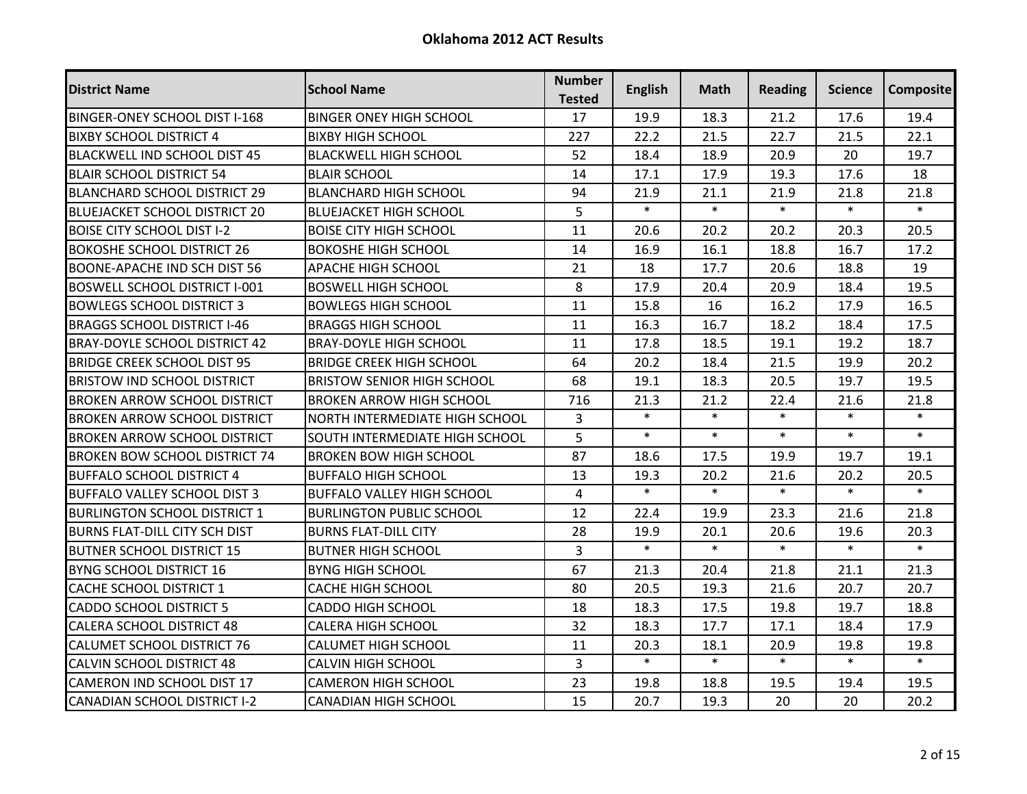| <b>District Name</b>                 | <b>School Name</b>                    | <b>Number</b><br><b>Tested</b> | <b>English</b> | Math   | <b>Reading</b> | Science | <b>Composite</b> |
|--------------------------------------|---------------------------------------|--------------------------------|----------------|--------|----------------|---------|------------------|
| <b>BINGER-ONEY SCHOOL DIST I-168</b> | <b>BINGER ONEY HIGH SCHOOL</b>        | 17                             | 19.9           | 18.3   | 21.2           | 17.6    | 19.4             |
| <b>BIXBY SCHOOL DISTRICT 4</b>       | <b>BIXBY HIGH SCHOOL</b>              | 227                            | 22.2           | 21.5   | 22.7           | 21.5    | 22.1             |
| <b>BLACKWELL IND SCHOOL DIST 45</b>  | <b>BLACKWELL HIGH SCHOOL</b>          | 52                             | 18.4           | 18.9   | 20.9           | 20      | 19.7             |
| <b>BLAIR SCHOOL DISTRICT 54</b>      | <b>BLAIR SCHOOL</b>                   | 14                             | 17.1           | 17.9   | 19.3           | 17.6    | 18               |
| <b>BLANCHARD SCHOOL DISTRICT 29</b>  | <b>BLANCHARD HIGH SCHOOL</b>          | 94                             | 21.9           | 21.1   | 21.9           | 21.8    | 21.8             |
| <b>BLUEJACKET SCHOOL DISTRICT 20</b> | <b>BLUEJACKET HIGH SCHOOL</b>         | 5                              | $\ast$         | $\ast$ | $\ast$         | $\ast$  | $\ast$           |
| <b>BOISE CITY SCHOOL DIST I-2</b>    | <b>BOISE CITY HIGH SCHOOL</b>         | 11                             | 20.6           | 20.2   | 20.2           | 20.3    | 20.5             |
| <b>BOKOSHE SCHOOL DISTRICT 26</b>    | <b>BOKOSHE HIGH SCHOOL</b>            | 14                             | 16.9           | 16.1   | 18.8           | 16.7    | 17.2             |
| BOONE-APACHE IND SCH DIST 56         | APACHE HIGH SCHOOL                    | 21                             | 18             | 17.7   | 20.6           | 18.8    | 19               |
| <b>BOSWELL SCHOOL DISTRICT I-001</b> | <b>BOSWELL HIGH SCHOOL</b>            | 8                              | 17.9           | 20.4   | 20.9           | 18.4    | 19.5             |
| <b>BOWLEGS SCHOOL DISTRICT 3</b>     | <b>BOWLEGS HIGH SCHOOL</b>            | 11                             | 15.8           | 16     | 16.2           | 17.9    | 16.5             |
| <b>BRAGGS SCHOOL DISTRICT I-46</b>   | <b>BRAGGS HIGH SCHOOL</b>             | 11                             | 16.3           | 16.7   | 18.2           | 18.4    | 17.5             |
| <b>BRAY-DOYLE SCHOOL DISTRICT 42</b> | <b>BRAY-DOYLE HIGH SCHOOL</b>         | 11                             | 17.8           | 18.5   | 19.1           | 19.2    | 18.7             |
| <b>BRIDGE CREEK SCHOOL DIST 95</b>   | <b>BRIDGE CREEK HIGH SCHOOL</b>       | 64                             | 20.2           | 18.4   | 21.5           | 19.9    | 20.2             |
| <b>BRISTOW IND SCHOOL DISTRICT</b>   | <b>BRISTOW SENIOR HIGH SCHOOL</b>     | 68                             | 19.1           | 18.3   | 20.5           | 19.7    | 19.5             |
| <b>BROKEN ARROW SCHOOL DISTRICT</b>  | <b>BROKEN ARROW HIGH SCHOOL</b>       | 716                            | 21.3           | 21.2   | 22.4           | 21.6    | 21.8             |
| <b>BROKEN ARROW SCHOOL DISTRICT</b>  | <b>NORTH INTERMEDIATE HIGH SCHOOL</b> | $\overline{3}$                 | $\ast$         | $\ast$ | $\ast$         | $\ast$  | $\ast$           |
| <b>BROKEN ARROW SCHOOL DISTRICT</b>  | <b>SOUTH INTERMEDIATE HIGH SCHOOL</b> | 5                              | $\ast$         | $\ast$ | $\ast$         | $\ast$  | $\ast$           |
| <b>BROKEN BOW SCHOOL DISTRICT 74</b> | <b>BROKEN BOW HIGH SCHOOL</b>         | 87                             | 18.6           | 17.5   | 19.9           | 19.7    | 19.1             |
| BUFFALO SCHOOL DISTRICT 4            | <b>BUFFALO HIGH SCHOOL</b>            | 13                             | 19.3           | 20.2   | 21.6           | 20.2    | 20.5             |
| <b>BUFFALO VALLEY SCHOOL DIST 3</b>  | <b>BUFFALO VALLEY HIGH SCHOOL</b>     | $\overline{4}$                 | $\ast$         | $\ast$ | $\ast$         | $\ast$  | $\ast$           |
| <b>BURLINGTON SCHOOL DISTRICT 1</b>  | <b>BURLINGTON PUBLIC SCHOOL</b>       | 12                             | 22.4           | 19.9   | 23.3           | 21.6    | 21.8             |
| <b>BURNS FLAT-DILL CITY SCH DIST</b> | <b>BURNS FLAT-DILL CITY</b>           | 28                             | 19.9           | 20.1   | 20.6           | 19.6    | 20.3             |
| <b>BUTNER SCHOOL DISTRICT 15</b>     | <b>BUTNER HIGH SCHOOL</b>             | $\overline{3}$                 | $\ast$         | $\ast$ | $\ast$         | $\ast$  | $\ast$           |
| BYNG SCHOOL DISTRICT 16              | <b>BYNG HIGH SCHOOL</b>               | 67                             | 21.3           | 20.4   | 21.8           | 21.1    | 21.3             |
| <b>CACHE SCHOOL DISTRICT 1</b>       | <b>CACHE HIGH SCHOOL</b>              | 80                             | 20.5           | 19.3   | 21.6           | 20.7    | 20.7             |
| <b>CADDO SCHOOL DISTRICT 5</b>       | <b>CADDO HIGH SCHOOL</b>              | 18                             | 18.3           | 17.5   | 19.8           | 19.7    | 18.8             |
| <b>CALERA SCHOOL DISTRICT 48</b>     | <b>CALERA HIGH SCHOOL</b>             | 32                             | 18.3           | 17.7   | 17.1           | 18.4    | 17.9             |
| <b>CALUMET SCHOOL DISTRICT 76</b>    | <b>CALUMET HIGH SCHOOL</b>            | 11                             | 20.3           | 18.1   | 20.9           | 19.8    | 19.8             |
| <b>CALVIN SCHOOL DISTRICT 48</b>     | <b>CALVIN HIGH SCHOOL</b>             | $\overline{3}$                 | $\ast$         | $\ast$ | $\ast$         | $\ast$  | $\ast$           |
| <b>CAMERON IND SCHOOL DIST 17</b>    | <b>CAMERON HIGH SCHOOL</b>            | 23                             | 19.8           | 18.8   | 19.5           | 19.4    | 19.5             |
| <b>CANADIAN SCHOOL DISTRICT I-2</b>  | <b>CANADIAN HIGH SCHOOL</b>           | 15                             | 20.7           | 19.3   | 20             | 20      | 20.2             |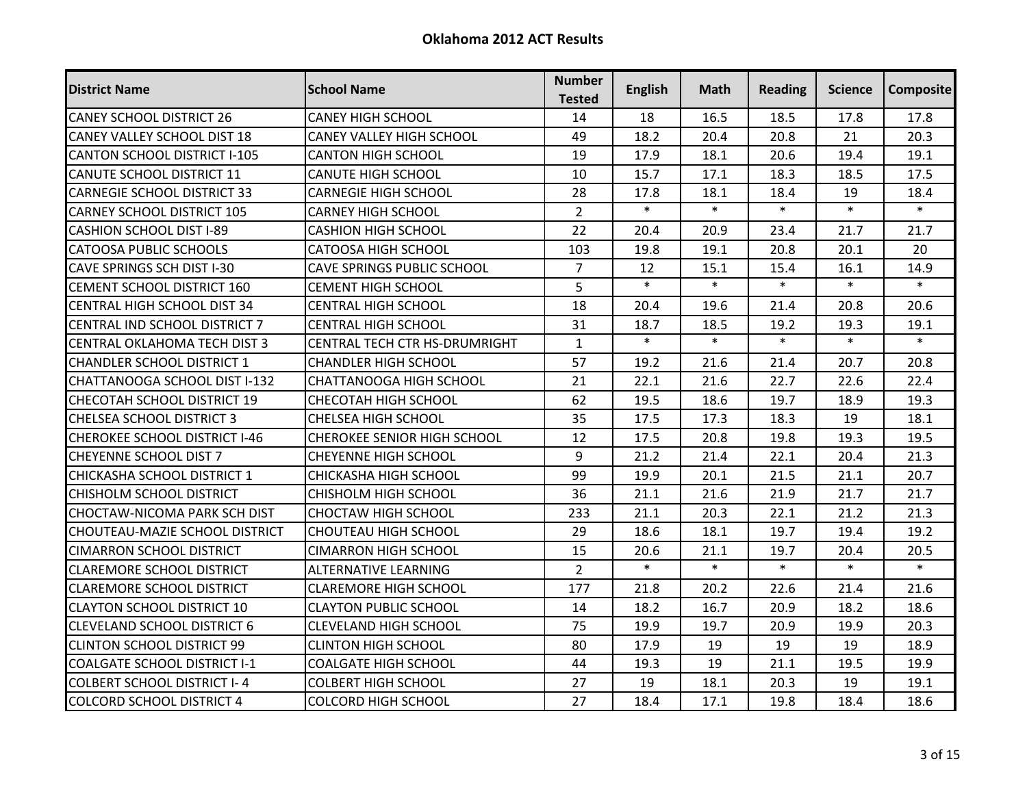| <b>District Name</b>                  | <b>School Name</b>                 | <b>Number</b><br><b>Tested</b> | <b>English</b> | Math   | <b>Reading</b> | Science | <b>Composite</b> |
|---------------------------------------|------------------------------------|--------------------------------|----------------|--------|----------------|---------|------------------|
| <b>CANEY SCHOOL DISTRICT 26</b>       | <b>CANEY HIGH SCHOOL</b>           | 14                             | 18             | 16.5   | 18.5           | 17.8    | 17.8             |
| <b>CANEY VALLEY SCHOOL DIST 18</b>    | <b>CANEY VALLEY HIGH SCHOOL</b>    | 49                             | 18.2           | 20.4   | 20.8           | 21      | 20.3             |
| <b>CANTON SCHOOL DISTRICT I-105</b>   | <b>CANTON HIGH SCHOOL</b>          | 19                             | 17.9           | 18.1   | 20.6           | 19.4    | 19.1             |
| <b>CANUTE SCHOOL DISTRICT 11</b>      | <b>CANUTE HIGH SCHOOL</b>          | 10                             | 15.7           | 17.1   | 18.3           | 18.5    | 17.5             |
| <b>CARNEGIE SCHOOL DISTRICT 33</b>    | <b>CARNEGIE HIGH SCHOOL</b>        | 28                             | 17.8           | 18.1   | 18.4           | 19      | 18.4             |
| <b>CARNEY SCHOOL DISTRICT 105</b>     | <b>CARNEY HIGH SCHOOL</b>          | $\overline{2}$                 | $\ast$         | $\ast$ | $\ast$         | $\ast$  | $\ast$           |
| <b>CASHION SCHOOL DIST I-89</b>       | <b>CASHION HIGH SCHOOL</b>         | 22                             | 20.4           | 20.9   | 23.4           | 21.7    | 21.7             |
| <b>CATOOSA PUBLIC SCHOOLS</b>         | <b>CATOOSA HIGH SCHOOL</b>         | 103                            | 19.8           | 19.1   | 20.8           | 20.1    | 20               |
| <b>CAVE SPRINGS SCH DIST I-30</b>     | <b>CAVE SPRINGS PUBLIC SCHOOL</b>  | $\overline{7}$                 | 12             | 15.1   | 15.4           | 16.1    | 14.9             |
| CEMENT SCHOOL DISTRICT 160            | <b>CEMENT HIGH SCHOOL</b>          | 5                              | $\ast$         | $\ast$ | $\ast$         | $\ast$  | $\ast$           |
| <b>CENTRAL HIGH SCHOOL DIST 34</b>    | <b>CENTRAL HIGH SCHOOL</b>         | 18                             | 20.4           | 19.6   | 21.4           | 20.8    | 20.6             |
| CENTRAL IND SCHOOL DISTRICT 7         | <b>CENTRAL HIGH SCHOOL</b>         | 31                             | 18.7           | 18.5   | 19.2           | 19.3    | 19.1             |
| <b>CENTRAL OKLAHOMA TECH DIST 3</b>   | CENTRAL TECH CTR HS-DRUMRIGHT      | $\mathbf{1}$                   | $\ast$         | $\ast$ | $\ast$         | $\ast$  | $\ast$           |
| <b>CHANDLER SCHOOL DISTRICT 1</b>     | <b>CHANDLER HIGH SCHOOL</b>        | 57                             | 19.2           | 21.6   | 21.4           | 20.7    | 20.8             |
| CHATTANOOGA SCHOOL DIST I-132         | <b>CHATTANOOGA HIGH SCHOOL</b>     | 21                             | 22.1           | 21.6   | 22.7           | 22.6    | 22.4             |
| CHECOTAH SCHOOL DISTRICT 19           | CHECOTAH HIGH SCHOOL               | 62                             | 19.5           | 18.6   | 19.7           | 18.9    | 19.3             |
| <b>CHELSEA SCHOOL DISTRICT 3</b>      | CHELSEA HIGH SCHOOL                | 35                             | 17.5           | 17.3   | 18.3           | 19      | 18.1             |
| <b>CHEROKEE SCHOOL DISTRICT I-46</b>  | <b>CHEROKEE SENIOR HIGH SCHOOL</b> | 12                             | 17.5           | 20.8   | 19.8           | 19.3    | 19.5             |
| <b>CHEYENNE SCHOOL DIST 7</b>         | <b>CHEYENNE HIGH SCHOOL</b>        | 9                              | 21.2           | 21.4   | 22.1           | 20.4    | 21.3             |
| CHICKASHA SCHOOL DISTRICT 1           | CHICKASHA HIGH SCHOOL              | 99                             | 19.9           | 20.1   | 21.5           | 21.1    | 20.7             |
| <b>CHISHOLM SCHOOL DISTRICT</b>       | <b>CHISHOLM HIGH SCHOOL</b>        | 36                             | 21.1           | 21.6   | 21.9           | 21.7    | 21.7             |
| <b>CHOCTAW-NICOMA PARK SCH DIST</b>   | <b>CHOCTAW HIGH SCHOOL</b>         | 233                            | 21.1           | 20.3   | 22.1           | 21.2    | 21.3             |
| <b>CHOUTEAU-MAZIE SCHOOL DISTRICT</b> | <b>CHOUTEAU HIGH SCHOOL</b>        | 29                             | 18.6           | 18.1   | 19.7           | 19.4    | 19.2             |
| <b>CIMARRON SCHOOL DISTRICT</b>       | <b>CIMARRON HIGH SCHOOL</b>        | 15                             | 20.6           | 21.1   | 19.7           | 20.4    | 20.5             |
| <b>CLAREMORE SCHOOL DISTRICT</b>      | <b>ALTERNATIVE LEARNING</b>        | $\overline{2}$                 | $\ast$         | $\ast$ | $\ast$         | $\ast$  | $\ast$           |
| <b>CLAREMORE SCHOOL DISTRICT</b>      | <b>CLAREMORE HIGH SCHOOL</b>       | 177                            | 21.8           | 20.2   | 22.6           | 21.4    | 21.6             |
| <b>CLAYTON SCHOOL DISTRICT 10</b>     | <b>CLAYTON PUBLIC SCHOOL</b>       | 14                             | 18.2           | 16.7   | 20.9           | 18.2    | 18.6             |
| <b>CLEVELAND SCHOOL DISTRICT 6</b>    | <b>CLEVELAND HIGH SCHOOL</b>       | 75                             | 19.9           | 19.7   | 20.9           | 19.9    | 20.3             |
| <b>CLINTON SCHOOL DISTRICT 99</b>     | <b>CLINTON HIGH SCHOOL</b>         | 80                             | 17.9           | 19     | 19             | 19      | 18.9             |
| <b>COALGATE SCHOOL DISTRICT I-1</b>   | <b>COALGATE HIGH SCHOOL</b>        | 44                             | 19.3           | 19     | 21.1           | 19.5    | 19.9             |
| <b>COLBERT SCHOOL DISTRICT I-4</b>    | <b>COLBERT HIGH SCHOOL</b>         | 27                             | 19             | 18.1   | 20.3           | 19      | 19.1             |
| <b>COLCORD SCHOOL DISTRICT 4</b>      | <b>COLCORD HIGH SCHOOL</b>         | 27                             | 18.4           | 17.1   | 19.8           | 18.4    | 18.6             |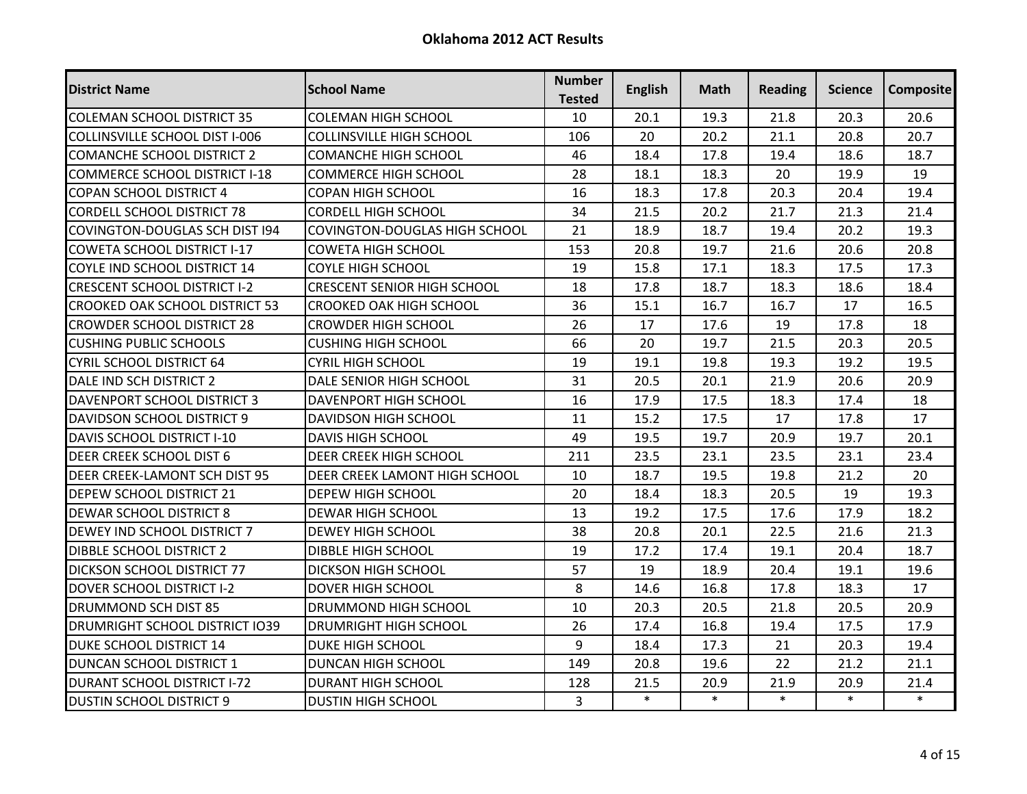| <b>District Name</b>                  | <b>School Name</b>                   | <b>Number</b><br><b>Tested</b> | <b>English</b> | Math   | <b>Reading</b> | Science | <b>Composite</b> |
|---------------------------------------|--------------------------------------|--------------------------------|----------------|--------|----------------|---------|------------------|
| <b>COLEMAN SCHOOL DISTRICT 35</b>     | <b>COLEMAN HIGH SCHOOL</b>           | 10                             | 20.1           | 19.3   | 21.8           | 20.3    | 20.6             |
| <b>COLLINSVILLE SCHOOL DIST I-006</b> | <b>COLLINSVILLE HIGH SCHOOL</b>      | 106                            | 20             | 20.2   | 21.1           | 20.8    | 20.7             |
| <b>COMANCHE SCHOOL DISTRICT 2</b>     | <b>COMANCHE HIGH SCHOOL</b>          | 46                             | 18.4           | 17.8   | 19.4           | 18.6    | 18.7             |
| <b>COMMERCE SCHOOL DISTRICT I-18</b>  | <b>COMMERCE HIGH SCHOOL</b>          | 28                             | 18.1           | 18.3   | 20             | 19.9    | 19               |
| <b>COPAN SCHOOL DISTRICT 4</b>        | <b>COPAN HIGH SCHOOL</b>             | 16                             | 18.3           | 17.8   | 20.3           | 20.4    | 19.4             |
| <b>CORDELL SCHOOL DISTRICT 78</b>     | <b>CORDELL HIGH SCHOOL</b>           | 34                             | 21.5           | 20.2   | 21.7           | 21.3    | 21.4             |
| <b>COVINGTON-DOUGLAS SCH DIST 194</b> | <b>COVINGTON-DOUGLAS HIGH SCHOOL</b> | 21                             | 18.9           | 18.7   | 19.4           | 20.2    | 19.3             |
| <b>COWETA SCHOOL DISTRICT I-17</b>    | <b>COWETA HIGH SCHOOL</b>            | 153                            | 20.8           | 19.7   | 21.6           | 20.6    | 20.8             |
| COYLE IND SCHOOL DISTRICT 14          | <b>COYLE HIGH SCHOOL</b>             | 19                             | 15.8           | 17.1   | 18.3           | 17.5    | 17.3             |
| <b>CRESCENT SCHOOL DISTRICT I-2</b>   | <b>CRESCENT SENIOR HIGH SCHOOL</b>   | 18                             | 17.8           | 18.7   | 18.3           | 18.6    | 18.4             |
| <b>CROOKED OAK SCHOOL DISTRICT 53</b> | <b>CROOKED OAK HIGH SCHOOL</b>       | 36                             | 15.1           | 16.7   | 16.7           | 17      | 16.5             |
| <b>CROWDER SCHOOL DISTRICT 28</b>     | <b>CROWDER HIGH SCHOOL</b>           | 26                             | 17             | 17.6   | 19             | 17.8    | 18               |
| <b>CUSHING PUBLIC SCHOOLS</b>         | <b>CUSHING HIGH SCHOOL</b>           | 66                             | 20             | 19.7   | 21.5           | 20.3    | 20.5             |
| <b>CYRIL SCHOOL DISTRICT 64</b>       | <b>CYRIL HIGH SCHOOL</b>             | 19                             | 19.1           | 19.8   | 19.3           | 19.2    | 19.5             |
| DALE IND SCH DISTRICT 2               | DALE SENIOR HIGH SCHOOL              | 31                             | 20.5           | 20.1   | 21.9           | 20.6    | 20.9             |
| DAVENPORT SCHOOL DISTRICT 3           | DAVENPORT HIGH SCHOOL                | 16                             | 17.9           | 17.5   | 18.3           | 17.4    | 18               |
| <b>DAVIDSON SCHOOL DISTRICT 9</b>     | DAVIDSON HIGH SCHOOL                 | 11                             | 15.2           | 17.5   | 17             | 17.8    | 17               |
| <b>DAVIS SCHOOL DISTRICT I-10</b>     | <b>DAVIS HIGH SCHOOL</b>             | 49                             | 19.5           | 19.7   | 20.9           | 19.7    | 20.1             |
| DEER CREEK SCHOOL DIST 6              | <b>DEER CREEK HIGH SCHOOL</b>        | 211                            | 23.5           | 23.1   | 23.5           | 23.1    | 23.4             |
| DEER CREEK-LAMONT SCH DIST 95         | DEER CREEK LAMONT HIGH SCHOOL        | 10                             | 18.7           | 19.5   | 19.8           | 21.2    | 20               |
| <b>DEPEW SCHOOL DISTRICT 21</b>       | <b>DEPEW HIGH SCHOOL</b>             | 20                             | 18.4           | 18.3   | 20.5           | 19      | 19.3             |
| <b>DEWAR SCHOOL DISTRICT 8</b>        | <b>DEWAR HIGH SCHOOL</b>             | 13                             | 19.2           | 17.5   | 17.6           | 17.9    | 18.2             |
| <b>DEWEY IND SCHOOL DISTRICT 7</b>    | <b>DEWEY HIGH SCHOOL</b>             | 38                             | 20.8           | 20.1   | 22.5           | 21.6    | 21.3             |
| <b>DIBBLE SCHOOL DISTRICT 2</b>       | <b>DIBBLE HIGH SCHOOL</b>            | 19                             | 17.2           | 17.4   | 19.1           | 20.4    | 18.7             |
| <b>DICKSON SCHOOL DISTRICT 77</b>     | <b>DICKSON HIGH SCHOOL</b>           | 57                             | 19             | 18.9   | 20.4           | 19.1    | 19.6             |
| <b>DOVER SCHOOL DISTRICT I-2</b>      | <b>DOVER HIGH SCHOOL</b>             | 8                              | 14.6           | 16.8   | 17.8           | 18.3    | 17               |
| <b>DRUMMOND SCH DIST 85</b>           | DRUMMOND HIGH SCHOOL                 | 10                             | 20.3           | 20.5   | 21.8           | 20.5    | 20.9             |
| <b>DRUMRIGHT SCHOOL DISTRICT IO39</b> | DRUMRIGHT HIGH SCHOOL                | 26                             | 17.4           | 16.8   | 19.4           | 17.5    | 17.9             |
| <b>DUKE SCHOOL DISTRICT 14</b>        | <b>DUKE HIGH SCHOOL</b>              | 9                              | 18.4           | 17.3   | 21             | 20.3    | 19.4             |
| DUNCAN SCHOOL DISTRICT 1              | <b>DUNCAN HIGH SCHOOL</b>            | 149                            | 20.8           | 19.6   | 22             | 21.2    | 21.1             |
| <b>DURANT SCHOOL DISTRICT I-72</b>    | <b>DURANT HIGH SCHOOL</b>            | 128                            | 21.5           | 20.9   | 21.9           | 20.9    | 21.4             |
| <b>DUSTIN SCHOOL DISTRICT 9</b>       | <b>DUSTIN HIGH SCHOOL</b>            | $\overline{3}$                 | $\ast$         | $\ast$ | $\ast$         | $\ast$  | $\ast$           |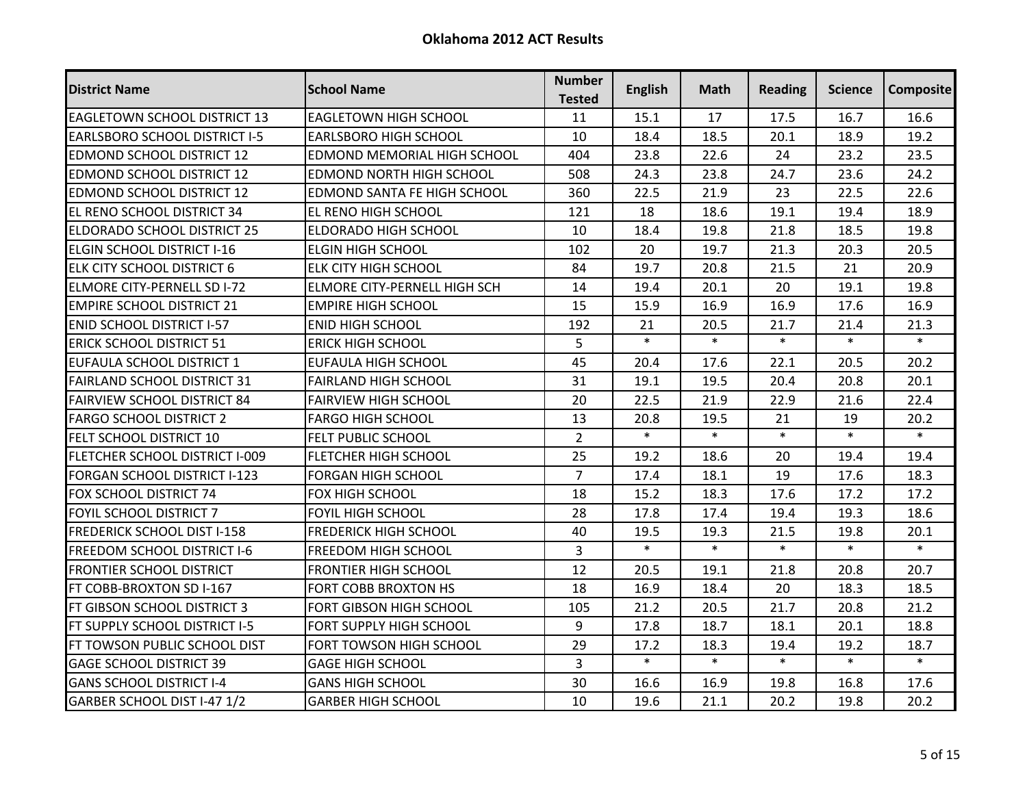| <b>District Name</b>                 | <b>School Name</b>              | <b>Number</b><br><b>Tested</b> | <b>English</b> | Math   | <b>Reading</b> | <b>Science</b> | <b>Composite</b> |
|--------------------------------------|---------------------------------|--------------------------------|----------------|--------|----------------|----------------|------------------|
| <b>EAGLETOWN SCHOOL DISTRICT 13</b>  | <b>EAGLETOWN HIGH SCHOOL</b>    | 11                             | 15.1           | 17     | 17.5           | 16.7           | 16.6             |
| <b>EARLSBORO SCHOOL DISTRICT I-5</b> | <b>EARLSBORO HIGH SCHOOL</b>    | 10                             | 18.4           | 18.5   | 20.1           | 18.9           | 19.2             |
| <b>EDMOND SCHOOL DISTRICT 12</b>     | EDMOND MEMORIAL HIGH SCHOOL     | 404                            | 23.8           | 22.6   | 24             | 23.2           | 23.5             |
| <b>EDMOND SCHOOL DISTRICT 12</b>     | <b>EDMOND NORTH HIGH SCHOOL</b> | 508                            | 24.3           | 23.8   | 24.7           | 23.6           | 24.2             |
| <b>EDMOND SCHOOL DISTRICT 12</b>     | EDMOND SANTA FE HIGH SCHOOL     | 360                            | 22.5           | 21.9   | 23             | 22.5           | 22.6             |
| EL RENO SCHOOL DISTRICT 34           | EL RENO HIGH SCHOOL             | 121                            | 18             | 18.6   | 19.1           | 19.4           | 18.9             |
| <b>ELDORADO SCHOOL DISTRICT 25</b>   | <b>ELDORADO HIGH SCHOOL</b>     | 10                             | 18.4           | 19.8   | 21.8           | 18.5           | 19.8             |
| ELGIN SCHOOL DISTRICT I-16           | <b>ELGIN HIGH SCHOOL</b>        | 102                            | 20             | 19.7   | 21.3           | 20.3           | 20.5             |
| <b>ELK CITY SCHOOL DISTRICT 6</b>    | <b>ELK CITY HIGH SCHOOL</b>     | 84                             | 19.7           | 20.8   | 21.5           | 21             | 20.9             |
| <b>ELMORE CITY-PERNELL SD I-72</b>   | ELMORE CITY-PERNELL HIGH SCH    | 14                             | 19.4           | 20.1   | 20             | 19.1           | 19.8             |
| <b>EMPIRE SCHOOL DISTRICT 21</b>     | <b>EMPIRE HIGH SCHOOL</b>       | 15                             | 15.9           | 16.9   | 16.9           | 17.6           | 16.9             |
| <b>ENID SCHOOL DISTRICT I-57</b>     | <b>ENID HIGH SCHOOL</b>         | 192                            | 21             | 20.5   | 21.7           | 21.4           | 21.3             |
| <b>ERICK SCHOOL DISTRICT 51</b>      | <b>ERICK HIGH SCHOOL</b>        | 5                              | $\ast$         | $\ast$ | $\ast$         | $\ast$         | $\ast$           |
| EUFAULA SCHOOL DISTRICT 1            | <b>EUFAULA HIGH SCHOOL</b>      | 45                             | 20.4           | 17.6   | 22.1           | 20.5           | 20.2             |
| <b>FAIRLAND SCHOOL DISTRICT 31</b>   | <b>FAIRLAND HIGH SCHOOL</b>     | 31                             | 19.1           | 19.5   | 20.4           | 20.8           | 20.1             |
| <b>FAIRVIEW SCHOOL DISTRICT 84</b>   | <b>FAIRVIEW HIGH SCHOOL</b>     | 20                             | 22.5           | 21.9   | 22.9           | 21.6           | 22.4             |
| <b>FARGO SCHOOL DISTRICT 2</b>       | <b>FARGO HIGH SCHOOL</b>        | 13                             | 20.8           | 19.5   | 21             | 19             | 20.2             |
| <b>FELT SCHOOL DISTRICT 10</b>       | FELT PUBLIC SCHOOL              | $\overline{2}$                 | $\ast$         | $\ast$ | $\ast$         | $\ast$         | $\ast$           |
| FLETCHER SCHOOL DISTRICT I-009       | <b>FLETCHER HIGH SCHOOL</b>     | 25                             | 19.2           | 18.6   | 20             | 19.4           | 19.4             |
| FORGAN SCHOOL DISTRICT I-123         | <b>FORGAN HIGH SCHOOL</b>       | $\overline{7}$                 | 17.4           | 18.1   | 19             | 17.6           | 18.3             |
| FOX SCHOOL DISTRICT 74               | FOX HIGH SCHOOL                 | 18                             | 15.2           | 18.3   | 17.6           | 17.2           | 17.2             |
| FOYIL SCHOOL DISTRICT 7              | FOYIL HIGH SCHOOL               | 28                             | 17.8           | 17.4   | 19.4           | 19.3           | 18.6             |
| <b>FREDERICK SCHOOL DIST I-158</b>   | <b>FREDERICK HIGH SCHOOL</b>    | 40                             | 19.5           | 19.3   | 21.5           | 19.8           | 20.1             |
| <b>FREEDOM SCHOOL DISTRICT I-6</b>   | <b>FREEDOM HIGH SCHOOL</b>      | $\overline{3}$                 | $\ast$         | $\ast$ | $\ast$         | $\ast$         | $\ast$           |
| <b>FRONTIER SCHOOL DISTRICT</b>      | <b>FRONTIER HIGH SCHOOL</b>     | 12                             | 20.5           | 19.1   | 21.8           | 20.8           | 20.7             |
| FT COBB-BROXTON SD I-167             | FORT COBB BROXTON HS            | 18                             | 16.9           | 18.4   | 20             | 18.3           | 18.5             |
| FT GIBSON SCHOOL DISTRICT 3          | FORT GIBSON HIGH SCHOOL         | 105                            | 21.2           | 20.5   | 21.7           | 20.8           | 21.2             |
| FT SUPPLY SCHOOL DISTRICT I-5        | FORT SUPPLY HIGH SCHOOL         | 9                              | 17.8           | 18.7   | 18.1           | 20.1           | 18.8             |
| FT TOWSON PUBLIC SCHOOL DIST         | FORT TOWSON HIGH SCHOOL         | 29                             | 17.2           | 18.3   | 19.4           | 19.2           | 18.7             |
| <b>GAGE SCHOOL DISTRICT 39</b>       | <b>GAGE HIGH SCHOOL</b>         | 3                              | $\ast$         | $\ast$ | $\ast$         | $\ast$         | $\ast$           |
| <b>GANS SCHOOL DISTRICT I-4</b>      | <b>GANS HIGH SCHOOL</b>         | 30                             | 16.6           | 16.9   | 19.8           | 16.8           | 17.6             |
| GARBER SCHOOL DIST I-47 1/2          | <b>GARBER HIGH SCHOOL</b>       | 10                             | 19.6           | 21.1   | 20.2           | 19.8           | 20.2             |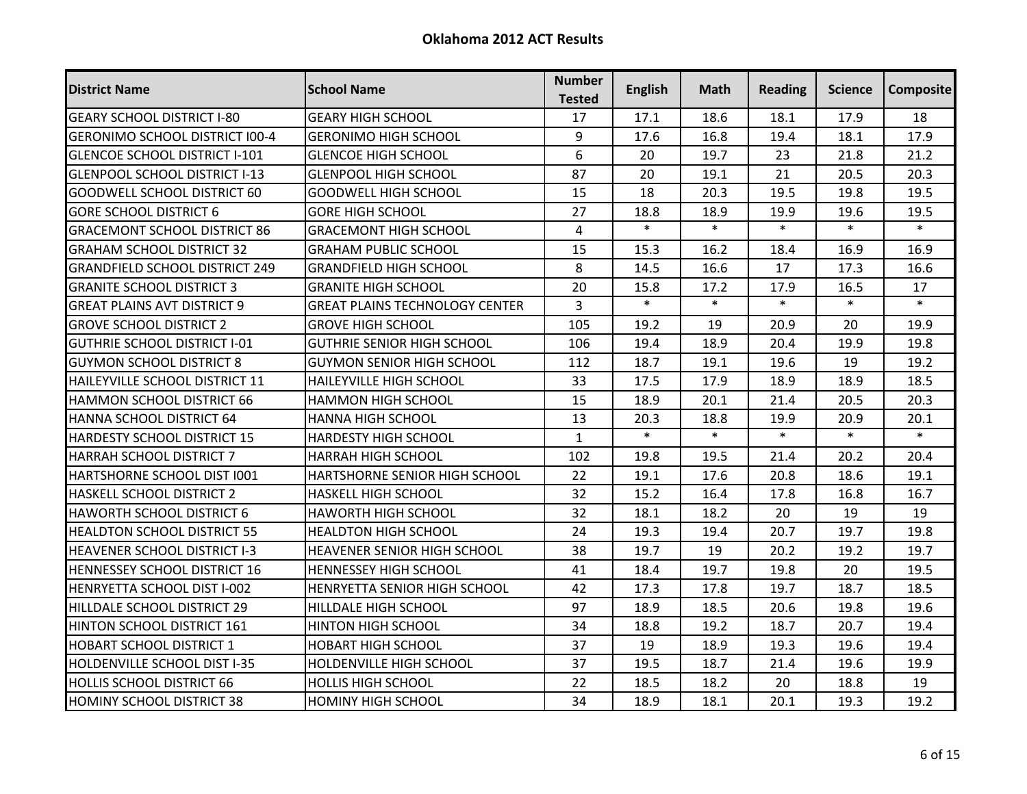| <b>District Name</b>                  | <b>School Name</b>                    | <b>Number</b><br><b>Tested</b> | <b>English</b> | Math   | <b>Reading</b> | Science | <b>Composite</b> |
|---------------------------------------|---------------------------------------|--------------------------------|----------------|--------|----------------|---------|------------------|
| <b>GEARY SCHOOL DISTRICT I-80</b>     | <b>GEARY HIGH SCHOOL</b>              | 17                             | 17.1           | 18.6   | 18.1           | 17.9    | 18               |
| <b>GERONIMO SCHOOL DISTRICT I00-4</b> | <b>GERONIMO HIGH SCHOOL</b>           | 9                              | 17.6           | 16.8   | 19.4           | 18.1    | 17.9             |
| <b>GLENCOE SCHOOL DISTRICT I-101</b>  | <b>GLENCOE HIGH SCHOOL</b>            | 6                              | 20             | 19.7   | 23             | 21.8    | 21.2             |
| <b>GLENPOOL SCHOOL DISTRICT I-13</b>  | <b>GLENPOOL HIGH SCHOOL</b>           | 87                             | 20             | 19.1   | 21             | 20.5    | 20.3             |
| <b>GOODWELL SCHOOL DISTRICT 60</b>    | <b>GOODWELL HIGH SCHOOL</b>           | 15                             | 18             | 20.3   | 19.5           | 19.8    | 19.5             |
| <b>GORE SCHOOL DISTRICT 6</b>         | <b>GORE HIGH SCHOOL</b>               | 27                             | 18.8           | 18.9   | 19.9           | 19.6    | 19.5             |
| <b>GRACEMONT SCHOOL DISTRICT 86</b>   | <b>GRACEMONT HIGH SCHOOL</b>          | $\overline{4}$                 | $\ast$         | $\ast$ | $\ast$         | $\ast$  | $\ast$           |
| <b>GRAHAM SCHOOL DISTRICT 32</b>      | <b>GRAHAM PUBLIC SCHOOL</b>           | 15                             | 15.3           | 16.2   | 18.4           | 16.9    | 16.9             |
| <b>GRANDFIELD SCHOOL DISTRICT 249</b> | <b>GRANDFIELD HIGH SCHOOL</b>         | 8                              | 14.5           | 16.6   | 17             | 17.3    | 16.6             |
| <b>GRANITE SCHOOL DISTRICT 3</b>      | <b>GRANITE HIGH SCHOOL</b>            | 20                             | 15.8           | 17.2   | 17.9           | 16.5    | 17               |
| <b>GREAT PLAINS AVT DISTRICT 9</b>    | <b>GREAT PLAINS TECHNOLOGY CENTER</b> | $\overline{3}$                 | $\ast$         | $\ast$ | $\ast$         | $\ast$  | $\ast$           |
| <b>GROVE SCHOOL DISTRICT 2</b>        | <b>GROVE HIGH SCHOOL</b>              | 105                            | 19.2           | 19     | 20.9           | 20      | 19.9             |
| IGUTHRIE SCHOOL DISTRICT I-01         | <b>GUTHRIE SENIOR HIGH SCHOOL</b>     | 106                            | 19.4           | 18.9   | 20.4           | 19.9    | 19.8             |
| <b>GUYMON SCHOOL DISTRICT 8</b>       | <b>GUYMON SENIOR HIGH SCHOOL</b>      | 112                            | 18.7           | 19.1   | 19.6           | 19      | 19.2             |
| HAILEYVILLE SCHOOL DISTRICT 11        | HAILEYVILLE HIGH SCHOOL               | 33                             | 17.5           | 17.9   | 18.9           | 18.9    | 18.5             |
| HAMMON SCHOOL DISTRICT 66             | <b>HAMMON HIGH SCHOOL</b>             | 15                             | 18.9           | 20.1   | 21.4           | 20.5    | 20.3             |
| HANNA SCHOOL DISTRICT 64              | <b>HANNA HIGH SCHOOL</b>              | 13                             | 20.3           | 18.8   | 19.9           | 20.9    | 20.1             |
| <b>HARDESTY SCHOOL DISTRICT 15</b>    | HARDESTY HIGH SCHOOL                  | $\mathbf{1}$                   | $\ast$         | $\ast$ | $\ast$         | $\ast$  | $\ast$           |
| <b>HARRAH SCHOOL DISTRICT 7</b>       | <b>HARRAH HIGH SCHOOL</b>             | 102                            | 19.8           | 19.5   | 21.4           | 20.2    | 20.4             |
| HARTSHORNE SCHOOL DIST 1001           | HARTSHORNE SENIOR HIGH SCHOOL         | 22                             | 19.1           | 17.6   | 20.8           | 18.6    | 19.1             |
| <b>HASKELL SCHOOL DISTRICT 2</b>      | HASKELL HIGH SCHOOL                   | 32                             | 15.2           | 16.4   | 17.8           | 16.8    | 16.7             |
| <b>HAWORTH SCHOOL DISTRICT 6</b>      | HAWORTH HIGH SCHOOL                   | 32                             | 18.1           | 18.2   | 20             | 19      | 19               |
| <b>HEALDTON SCHOOL DISTRICT 55</b>    | <b>HEALDTON HIGH SCHOOL</b>           | 24                             | 19.3           | 19.4   | 20.7           | 19.7    | 19.8             |
| <b>HEAVENER SCHOOL DISTRICT I-3</b>   | <b>HEAVENER SENIOR HIGH SCHOOL</b>    | 38                             | 19.7           | 19     | 20.2           | 19.2    | 19.7             |
| <b>HENNESSEY SCHOOL DISTRICT 16</b>   | <b>HENNESSEY HIGH SCHOOL</b>          | 41                             | 18.4           | 19.7   | 19.8           | 20      | 19.5             |
| HENRYETTA SCHOOL DIST I-002           | HENRYETTA SENIOR HIGH SCHOOL          | 42                             | 17.3           | 17.8   | 19.7           | 18.7    | 18.5             |
| HILLDALE SCHOOL DISTRICT 29           | HILLDALE HIGH SCHOOL                  | 97                             | 18.9           | 18.5   | 20.6           | 19.8    | 19.6             |
| HINTON SCHOOL DISTRICT 161            | <b>HINTON HIGH SCHOOL</b>             | 34                             | 18.8           | 19.2   | 18.7           | 20.7    | 19.4             |
| <b>HOBART SCHOOL DISTRICT 1</b>       | <b>HOBART HIGH SCHOOL</b>             | 37                             | 19             | 18.9   | 19.3           | 19.6    | 19.4             |
| <b>HOLDENVILLE SCHOOL DIST I-35</b>   | HOLDENVILLE HIGH SCHOOL               | 37                             | 19.5           | 18.7   | 21.4           | 19.6    | 19.9             |
| <b>HOLLIS SCHOOL DISTRICT 66</b>      | <b>HOLLIS HIGH SCHOOL</b>             | 22                             | 18.5           | 18.2   | 20             | 18.8    | 19               |
| <b>HOMINY SCHOOL DISTRICT 38</b>      | <b>HOMINY HIGH SCHOOL</b>             | 34                             | 18.9           | 18.1   | 20.1           | 19.3    | 19.2             |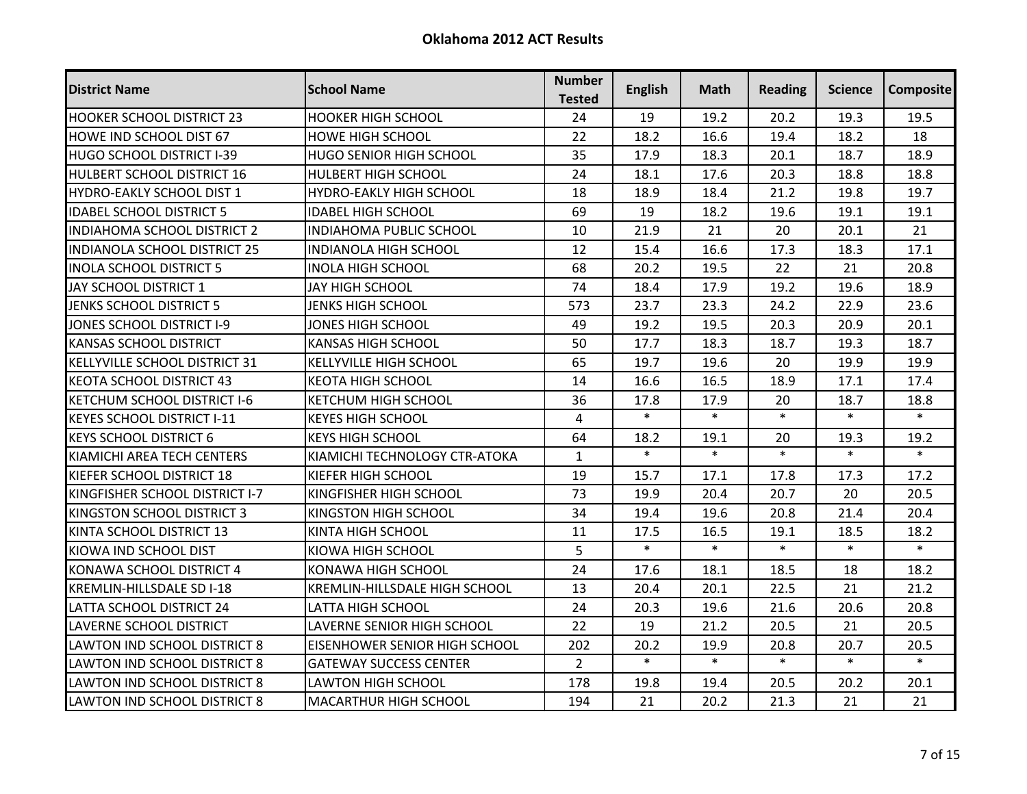| <b>District Name</b>                | <b>School Name</b>                   | <b>Number</b><br><b>Tested</b> | <b>English</b> | <b>Math</b> | <b>Reading</b> | Science | <b>Composite</b> |
|-------------------------------------|--------------------------------------|--------------------------------|----------------|-------------|----------------|---------|------------------|
| <b>HOOKER SCHOOL DISTRICT 23</b>    | <b>HOOKER HIGH SCHOOL</b>            | 24                             | 19             | 19.2        | 20.2           | 19.3    | 19.5             |
| <b>HOWE IND SCHOOL DIST 67</b>      | <b>HOWE HIGH SCHOOL</b>              | 22                             | 18.2           | 16.6        | 19.4           | 18.2    | 18               |
| <b>HUGO SCHOOL DISTRICT I-39</b>    | <b>HUGO SENIOR HIGH SCHOOL</b>       | 35                             | 17.9           | 18.3        | 20.1           | 18.7    | 18.9             |
| <b>HULBERT SCHOOL DISTRICT 16</b>   | <b>HULBERT HIGH SCHOOL</b>           | 24                             | 18.1           | 17.6        | 20.3           | 18.8    | 18.8             |
| <b>HYDRO-EAKLY SCHOOL DIST 1</b>    | HYDRO-EAKLY HIGH SCHOOL              | 18                             | 18.9           | 18.4        | 21.2           | 19.8    | 19.7             |
| <b>IDABEL SCHOOL DISTRICT 5</b>     | <b>IDABEL HIGH SCHOOL</b>            | 69                             | 19             | 18.2        | 19.6           | 19.1    | 19.1             |
| <b>INDIAHOMA SCHOOL DISTRICT 2</b>  | <b>INDIAHOMA PUBLIC SCHOOL</b>       | 10                             | 21.9           | 21          | 20             | 20.1    | 21               |
| <b>INDIANOLA SCHOOL DISTRICT 25</b> | INDIANOLA HIGH SCHOOL                | 12                             | 15.4           | 16.6        | 17.3           | 18.3    | 17.1             |
| <b>INOLA SCHOOL DISTRICT 5</b>      | <b>INOLA HIGH SCHOOL</b>             | 68                             | 20.2           | 19.5        | 22             | 21      | 20.8             |
| JAY SCHOOL DISTRICT 1               | JAY HIGH SCHOOL                      | 74                             | 18.4           | 17.9        | 19.2           | 19.6    | 18.9             |
| JENKS SCHOOL DISTRICT 5             | <b>JENKS HIGH SCHOOL</b>             | 573                            | 23.7           | 23.3        | 24.2           | 22.9    | 23.6             |
| JONES SCHOOL DISTRICT I-9           | <b>JONES HIGH SCHOOL</b>             | 49                             | 19.2           | 19.5        | 20.3           | 20.9    | 20.1             |
| <b>KANSAS SCHOOL DISTRICT</b>       | <b>KANSAS HIGH SCHOOL</b>            | 50                             | 17.7           | 18.3        | 18.7           | 19.3    | 18.7             |
| KELLYVILLE SCHOOL DISTRICT 31       | <b>KELLYVILLE HIGH SCHOOL</b>        | 65                             | 19.7           | 19.6        | 20             | 19.9    | 19.9             |
| <b>KEOTA SCHOOL DISTRICT 43</b>     | <b>KEOTA HIGH SCHOOL</b>             | 14                             | 16.6           | 16.5        | 18.9           | 17.1    | 17.4             |
| <b>KETCHUM SCHOOL DISTRICT I-6</b>  | <b>KETCHUM HIGH SCHOOL</b>           | 36                             | 17.8           | 17.9        | 20             | 18.7    | 18.8             |
| <b>KEYES SCHOOL DISTRICT I-11</b>   | <b>KEYES HIGH SCHOOL</b>             | $\overline{4}$                 | $\ast$         | $\ast$      | $\ast$         | $\ast$  | $\ast$           |
| <b>KEYS SCHOOL DISTRICT 6</b>       | <b>KEYS HIGH SCHOOL</b>              | 64                             | 18.2           | 19.1        | 20             | 19.3    | 19.2             |
| KIAMICHI AREA TECH CENTERS          | KIAMICHI TECHNOLOGY CTR-ATOKA        | $\mathbf{1}$                   | $\ast$         | $\ast$      | $\ast$         | $\ast$  | $\ast$           |
| IKIEFER SCHOOL DISTRICT 18          | KIEFER HIGH SCHOOL                   | 19                             | 15.7           | 17.1        | 17.8           | 17.3    | 17.2             |
| KINGFISHER SCHOOL DISTRICT I-7      | KINGFISHER HIGH SCHOOL               | 73                             | 19.9           | 20.4        | 20.7           | 20      | 20.5             |
| KINGSTON SCHOOL DISTRICT 3          | KINGSTON HIGH SCHOOL                 | 34                             | 19.4           | 19.6        | 20.8           | 21.4    | 20.4             |
| KINTA SCHOOL DISTRICT 13            | KINTA HIGH SCHOOL                    | 11                             | 17.5           | 16.5        | 19.1           | 18.5    | 18.2             |
| KIOWA IND SCHOOL DIST               | KIOWA HIGH SCHOOL                    | 5                              | $\ast$         | $\ast$      | $\ast$         | $\ast$  | $\ast$           |
| IKONAWA SCHOOL DISTRICT 4           | KONAWA HIGH SCHOOL                   | 24                             | 17.6           | 18.1        | 18.5           | 18      | 18.2             |
| <b>KREMLIN-HILLSDALE SD I-18</b>    | <b>KREMLIN-HILLSDALE HIGH SCHOOL</b> | 13                             | 20.4           | 20.1        | 22.5           | 21      | 21.2             |
| LATTA SCHOOL DISTRICT 24            | <b>LATTA HIGH SCHOOL</b>             | 24                             | 20.3           | 19.6        | 21.6           | 20.6    | 20.8             |
| <b>LAVERNE SCHOOL DISTRICT</b>      | LAVERNE SENIOR HIGH SCHOOL           | 22                             | 19             | 21.2        | 20.5           | 21      | 20.5             |
| <b>LAWTON IND SCHOOL DISTRICT 8</b> | EISENHOWER SENIOR HIGH SCHOOL        | 202                            | 20.2           | 19.9        | 20.8           | 20.7    | 20.5             |
| AWTON IND SCHOOL DISTRICT 8.        | <b>GATEWAY SUCCESS CENTER</b>        | $\overline{2}$                 | $\ast$         | $\ast$      | $\ast$         | $\ast$  | $\ast$           |
| <b>LAWTON IND SCHOOL DISTRICT 8</b> | <b>LAWTON HIGH SCHOOL</b>            | 178                            | 19.8           | 19.4        | 20.5           | 20.2    | 20.1             |
| <b>LAWTON IND SCHOOL DISTRICT 8</b> | <b>MACARTHUR HIGH SCHOOL</b>         | 194                            | 21             | 20.2        | 21.3           | 21      | 21               |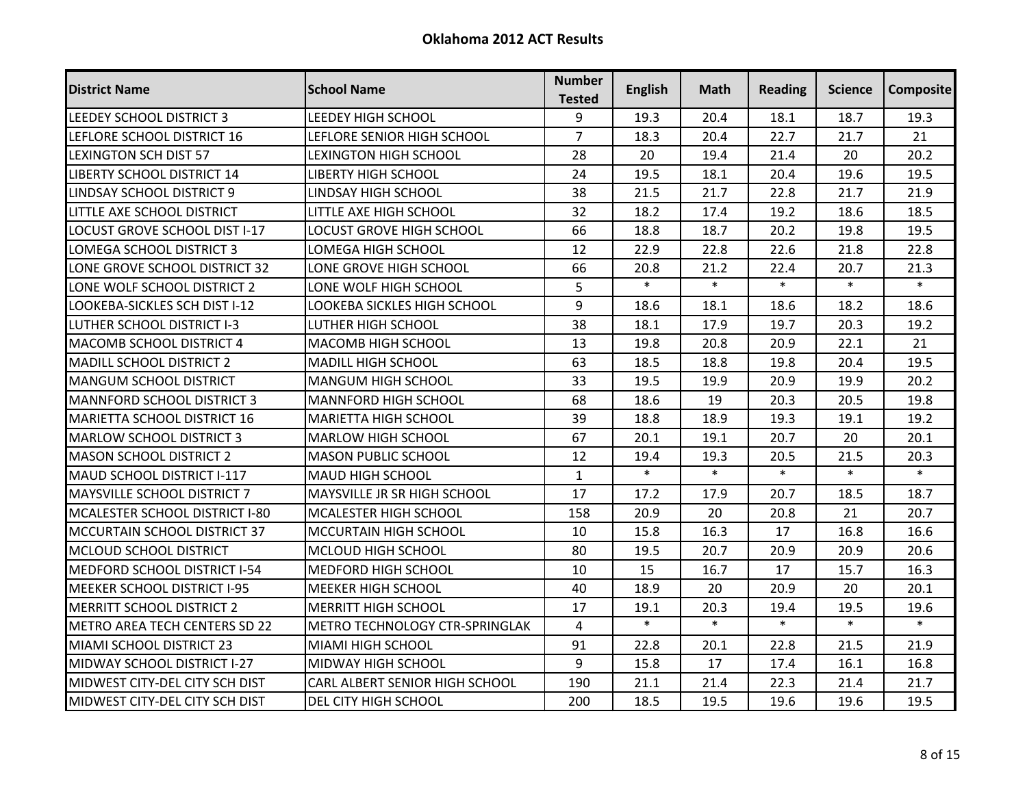| <b>District Name</b>                 | <b>School Name</b>              | <b>Number</b><br><b>Tested</b> | <b>English</b> | Math   | <b>Reading</b> | <b>Science</b> | <b>Composite</b> |
|--------------------------------------|---------------------------------|--------------------------------|----------------|--------|----------------|----------------|------------------|
| LEEDEY SCHOOL DISTRICT 3             | <b>LEEDEY HIGH SCHOOL</b>       | 9                              | 19.3           | 20.4   | 18.1           | 18.7           | 19.3             |
| LEFLORE SCHOOL DISTRICT 16           | LEFLORE SENIOR HIGH SCHOOL      | $\overline{7}$                 | 18.3           | 20.4   | 22.7           | 21.7           | 21               |
| <b>LEXINGTON SCH DIST 57</b>         | <b>LEXINGTON HIGH SCHOOL</b>    | 28                             | 20             | 19.4   | 21.4           | 20             | 20.2             |
| <b>LIBERTY SCHOOL DISTRICT 14</b>    | <b>LIBERTY HIGH SCHOOL</b>      | 24                             | 19.5           | 18.1   | 20.4           | 19.6           | 19.5             |
| <b>LINDSAY SCHOOL DISTRICT 9</b>     | LINDSAY HIGH SCHOOL             | 38                             | 21.5           | 21.7   | 22.8           | 21.7           | 21.9             |
| LITTLE AXE SCHOOL DISTRICT           | LITTLE AXE HIGH SCHOOL          | 32                             | 18.2           | 17.4   | 19.2           | 18.6           | 18.5             |
| LOCUST GROVE SCHOOL DIST I-17        | <b>LOCUST GROVE HIGH SCHOOL</b> | 66                             | 18.8           | 18.7   | 20.2           | 19.8           | 19.5             |
| LOMEGA SCHOOL DISTRICT 3             | LOMEGA HIGH SCHOOL              | 12                             | 22.9           | 22.8   | 22.6           | 21.8           | 22.8             |
| ONE GROVE SCHOOL DISTRICT 32         | LONE GROVE HIGH SCHOOL          | 66                             | 20.8           | 21.2   | 22.4           | 20.7           | 21.3             |
| ONE WOLF SCHOOL DISTRICT 2           | LONE WOLF HIGH SCHOOL           | 5                              | $\ast$         | $\ast$ | $\ast$         | $\ast$         | $\ast$           |
| LOOKEBA-SICKLES SCH DIST I-12        | LOOKEBA SICKLES HIGH SCHOOL     | 9                              | 18.6           | 18.1   | 18.6           | 18.2           | 18.6             |
| LUTHER SCHOOL DISTRICT I-3           | LUTHER HIGH SCHOOL              | 38                             | 18.1           | 17.9   | 19.7           | 20.3           | 19.2             |
| <b>MACOMB SCHOOL DISTRICT 4</b>      | MACOMB HIGH SCHOOL              | 13                             | 19.8           | 20.8   | 20.9           | 22.1           | 21               |
| <b>MADILL SCHOOL DISTRICT 2</b>      | <b>MADILL HIGH SCHOOL</b>       | 63                             | 18.5           | 18.8   | 19.8           | 20.4           | 19.5             |
| <b>MANGUM SCHOOL DISTRICT</b>        | MANGUM HIGH SCHOOL              | 33                             | 19.5           | 19.9   | 20.9           | 19.9           | 20.2             |
| <b>MANNFORD SCHOOL DISTRICT 3</b>    | MANNFORD HIGH SCHOOL            | 68                             | 18.6           | 19     | 20.3           | 20.5           | 19.8             |
| <b>MARIETTA SCHOOL DISTRICT 16</b>   | <b>MARIETTA HIGH SCHOOL</b>     | 39                             | 18.8           | 18.9   | 19.3           | 19.1           | 19.2             |
| IMARLOW SCHOOL DISTRICT 3            | <b>MARLOW HIGH SCHOOL</b>       | 67                             | 20.1           | 19.1   | 20.7           | 20             | 20.1             |
| <b>MASON SCHOOL DISTRICT 2</b>       | <b>MASON PUBLIC SCHOOL</b>      | 12                             | 19.4           | 19.3   | 20.5           | 21.5           | 20.3             |
| MAUD SCHOOL DISTRICT I-117           | <b>MAUD HIGH SCHOOL</b>         | $\mathbf{1}$                   | $\ast$         | $\ast$ | $\ast$         | $\ast$         | $\ast$           |
| <b>MAYSVILLE SCHOOL DISTRICT 7</b>   | MAYSVILLE JR SR HIGH SCHOOL     | 17                             | 17.2           | 17.9   | 20.7           | 18.5           | 18.7             |
| MCALESTER SCHOOL DISTRICT I-80       | <b>MCALESTER HIGH SCHOOL</b>    | 158                            | 20.9           | 20     | 20.8           | 21             | 20.7             |
| MCCURTAIN SCHOOL DISTRICT 37         | <b>MCCURTAIN HIGH SCHOOL</b>    | 10                             | 15.8           | 16.3   | 17             | 16.8           | 16.6             |
| MCLOUD SCHOOL DISTRICT               | MCLOUD HIGH SCHOOL              | 80                             | 19.5           | 20.7   | 20.9           | 20.9           | 20.6             |
| MEDFORD SCHOOL DISTRICT I-54         | MEDFORD HIGH SCHOOL             | 10                             | 15             | 16.7   | 17             | 15.7           | 16.3             |
| <b>MEEKER SCHOOL DISTRICT I-95</b>   | <b>MEEKER HIGH SCHOOL</b>       | 40                             | 18.9           | 20     | 20.9           | 20             | 20.1             |
| <b>MERRITT SCHOOL DISTRICT 2</b>     | <b>MERRITT HIGH SCHOOL</b>      | 17                             | 19.1           | 20.3   | 19.4           | 19.5           | 19.6             |
| <b>METRO AREA TECH CENTERS SD 22</b> | METRO TECHNOLOGY CTR-SPRINGLAK  | 4                              | $\ast$         | $\ast$ | $\ast$         | $\ast$         | $\ast$           |
| MIAMI SCHOOL DISTRICT 23             | MIAMI HIGH SCHOOL               | 91                             | 22.8           | 20.1   | 22.8           | 21.5           | 21.9             |
| MIDWAY SCHOOL DISTRICT I-27          | MIDWAY HIGH SCHOOL              | 9                              | 15.8           | 17     | 17.4           | 16.1           | 16.8             |
| MIDWEST CITY-DEL CITY SCH DIST       | CARL ALBERT SENIOR HIGH SCHOOL  | 190                            | 21.1           | 21.4   | 22.3           | 21.4           | 21.7             |
| MIDWEST CITY-DEL CITY SCH DIST       | DEL CITY HIGH SCHOOL            | 200                            | 18.5           | 19.5   | 19.6           | 19.6           | 19.5             |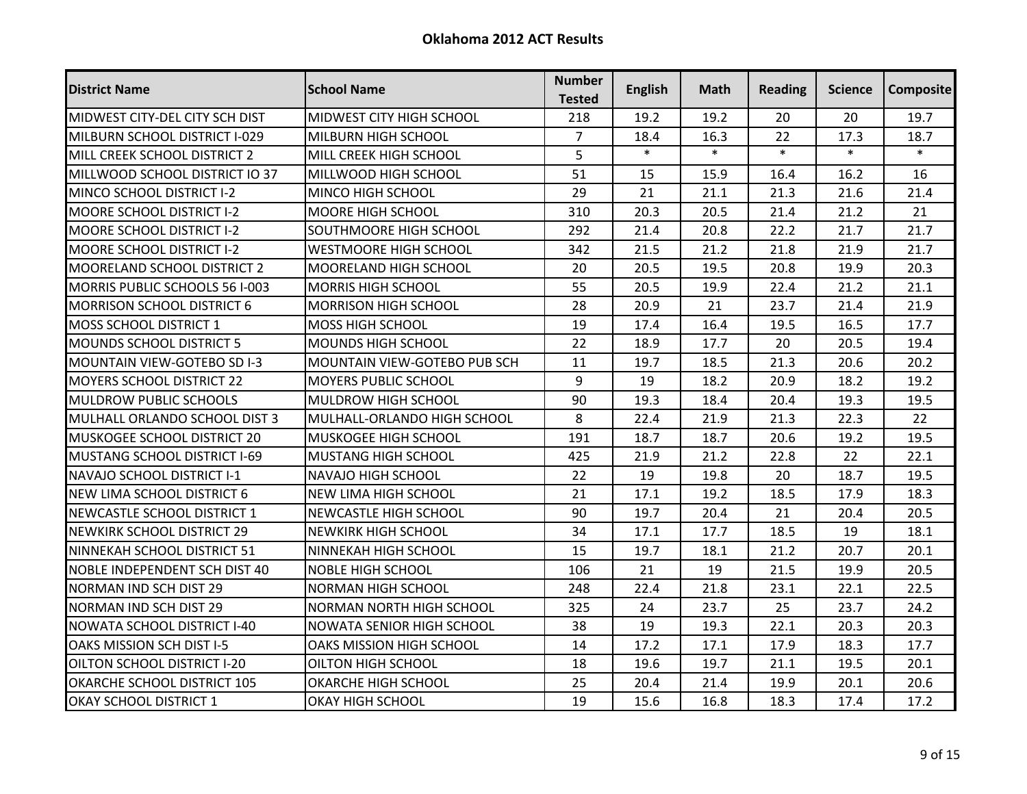| <b>District Name</b>                 | <b>School Name</b>               | <b>Number</b><br><b>Tested</b> | <b>English</b> | Math   | <b>Reading</b> | Science | <b>Composite</b> |
|--------------------------------------|----------------------------------|--------------------------------|----------------|--------|----------------|---------|------------------|
| MIDWEST CITY-DEL CITY SCH DIST       | MIDWEST CITY HIGH SCHOOL         | 218                            | 19.2           | 19.2   | 20             | 20      | 19.7             |
| MILBURN SCHOOL DISTRICT I-029        | MILBURN HIGH SCHOOL              | $\overline{7}$                 | 18.4           | 16.3   | 22             | 17.3    | 18.7             |
| MILL CREEK SCHOOL DISTRICT 2         | MILL CREEK HIGH SCHOOL           | 5                              | $\ast$         | $\ast$ | $\ast$         | $\ast$  | $\ast$           |
| MILLWOOD SCHOOL DISTRICT IO 37       | MILLWOOD HIGH SCHOOL             | 51                             | 15             | 15.9   | 16.4           | 16.2    | 16               |
| MINCO SCHOOL DISTRICT I-2            | MINCO HIGH SCHOOL                | 29                             | 21             | 21.1   | 21.3           | 21.6    | 21.4             |
| <b>MOORE SCHOOL DISTRICT I-2</b>     | MOORE HIGH SCHOOL                | 310                            | 20.3           | 20.5   | 21.4           | 21.2    | 21               |
| <b>MOORE SCHOOL DISTRICT I-2</b>     | SOUTHMOORE HIGH SCHOOL           | 292                            | 21.4           | 20.8   | 22.2           | 21.7    | 21.7             |
| <b>MOORE SCHOOL DISTRICT I-2</b>     | <b>WESTMOORE HIGH SCHOOL</b>     | 342                            | 21.5           | 21.2   | 21.8           | 21.9    | 21.7             |
| <b>MOORELAND SCHOOL DISTRICT 2</b>   | MOORELAND HIGH SCHOOL            | 20                             | 20.5           | 19.5   | 20.8           | 19.9    | 20.3             |
| MORRIS PUBLIC SCHOOLS 56 I-003       | <b>MORRIS HIGH SCHOOL</b>        | 55                             | 20.5           | 19.9   | 22.4           | 21.2    | 21.1             |
| <b>MORRISON SCHOOL DISTRICT 6</b>    | <b>MORRISON HIGH SCHOOL</b>      | 28                             | 20.9           | 21     | 23.7           | 21.4    | 21.9             |
| <b>MOSS SCHOOL DISTRICT 1</b>        | MOSS HIGH SCHOOL                 | 19                             | 17.4           | 16.4   | 19.5           | 16.5    | 17.7             |
| <b>MOUNDS SCHOOL DISTRICT 5</b>      | MOUNDS HIGH SCHOOL               | 22                             | 18.9           | 17.7   | 20             | 20.5    | 19.4             |
| <b>MOUNTAIN VIEW-GOTEBO SD I-3</b>   | MOUNTAIN VIEW-GOTEBO PUB SCH     | 11                             | 19.7           | 18.5   | 21.3           | 20.6    | 20.2             |
| <b>MOYERS SCHOOL DISTRICT 22</b>     | MOYERS PUBLIC SCHOOL             | 9                              | 19             | 18.2   | 20.9           | 18.2    | 19.2             |
| <b>MULDROW PUBLIC SCHOOLS</b>        | MULDROW HIGH SCHOOL              | 90                             | 19.3           | 18.4   | 20.4           | 19.3    | 19.5             |
| MULHALL ORLANDO SCHOOL DIST 3        | MULHALL-ORLANDO HIGH SCHOOL      | 8                              | 22.4           | 21.9   | 21.3           | 22.3    | 22               |
| MUSKOGEE SCHOOL DISTRICT 20          | MUSKOGEE HIGH SCHOOL             | 191                            | 18.7           | 18.7   | 20.6           | 19.2    | 19.5             |
| MUSTANG SCHOOL DISTRICT I-69         | <b>MUSTANG HIGH SCHOOL</b>       | 425                            | 21.9           | 21.2   | 22.8           | 22      | 22.1             |
| INAVAJO SCHOOL DISTRICT I-1          | NAVAJO HIGH SCHOOL               | 22                             | 19             | 19.8   | 20             | 18.7    | 19.5             |
| <b>NEW LIMA SCHOOL DISTRICT 6</b>    | NEW LIMA HIGH SCHOOL             | 21                             | 17.1           | 19.2   | 18.5           | 17.9    | 18.3             |
| NEWCASTLE SCHOOL DISTRICT 1          | NEWCASTLE HIGH SCHOOL            | 90                             | 19.7           | 20.4   | 21             | 20.4    | 20.5             |
| <b>NEWKIRK SCHOOL DISTRICT 29</b>    | <b>NEWKIRK HIGH SCHOOL</b>       | 34                             | 17.1           | 17.7   | 18.5           | 19      | 18.1             |
| NINNEKAH SCHOOL DISTRICT 51          | NINNEKAH HIGH SCHOOL             | 15                             | 19.7           | 18.1   | 21.2           | 20.7    | 20.1             |
| <b>NOBLE INDEPENDENT SCH DIST 40</b> | <b>NOBLE HIGH SCHOOL</b>         | 106                            | 21             | 19     | 21.5           | 19.9    | 20.5             |
| <b>NORMAN IND SCH DIST 29</b>        | <b>NORMAN HIGH SCHOOL</b>        | 248                            | 22.4           | 21.8   | 23.1           | 22.1    | 22.5             |
| <b>NORMAN IND SCH DIST 29</b>        | <b>NORMAN NORTH HIGH SCHOOL</b>  | 325                            | 24             | 23.7   | 25             | 23.7    | 24.2             |
| <b>NOWATA SCHOOL DISTRICT I-40</b>   | <b>NOWATA SENIOR HIGH SCHOOL</b> | 38                             | 19             | 19.3   | 22.1           | 20.3    | 20.3             |
| OAKS MISSION SCH DIST I-5            | <b>OAKS MISSION HIGH SCHOOL</b>  | 14                             | 17.2           | 17.1   | 17.9           | 18.3    | 17.7             |
| <b>OILTON SCHOOL DISTRICT I-20</b>   | OILTON HIGH SCHOOL               | 18                             | 19.6           | 19.7   | 21.1           | 19.5    | 20.1             |
| OKARCHE SCHOOL DISTRICT 105          | OKARCHE HIGH SCHOOL              | 25                             | 20.4           | 21.4   | 19.9           | 20.1    | 20.6             |
| OKAY SCHOOL DISTRICT 1               | <b>OKAY HIGH SCHOOL</b>          | 19                             | 15.6           | 16.8   | 18.3           | 17.4    | 17.2             |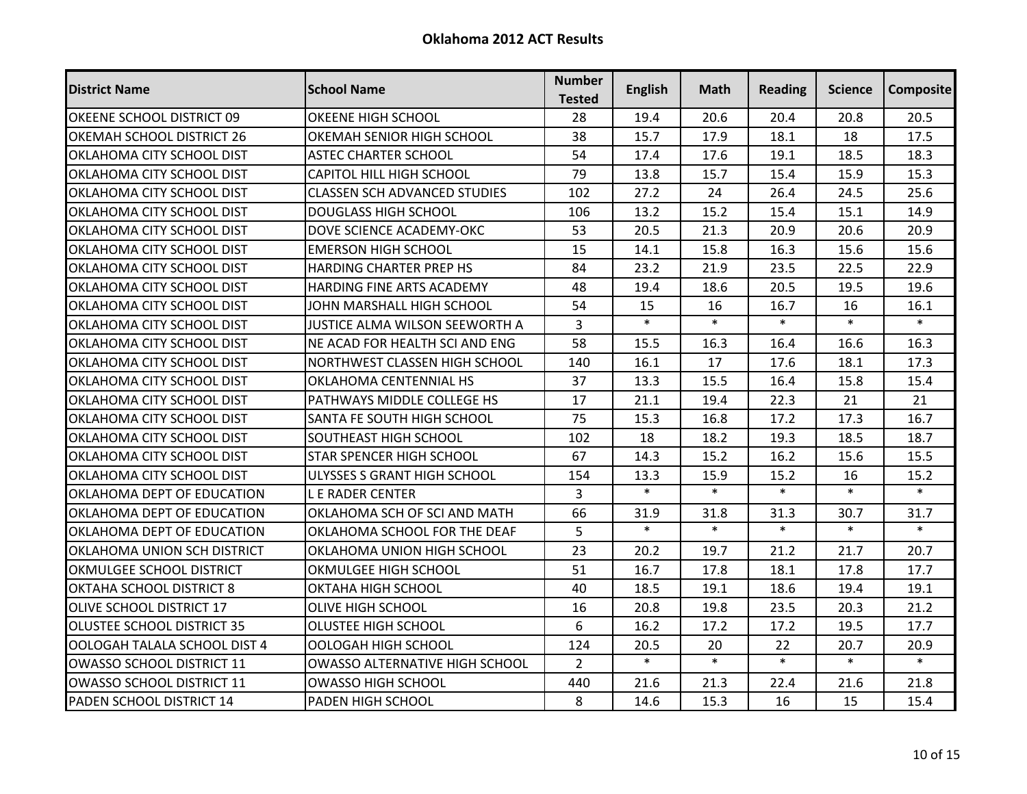| <b>District Name</b>              | <b>School Name</b>                    | <b>Number</b><br><b>Tested</b> | <b>English</b> | Math   | <b>Reading</b> | <b>Science</b> | <b>Composite</b> |
|-----------------------------------|---------------------------------------|--------------------------------|----------------|--------|----------------|----------------|------------------|
| OKEENE SCHOOL DISTRICT 09         | OKEENE HIGH SCHOOL                    | 28                             | 19.4           | 20.6   | 20.4           | 20.8           | 20.5             |
| OKEMAH SCHOOL DISTRICT 26         | OKEMAH SENIOR HIGH SCHOOL             | 38                             | 15.7           | 17.9   | 18.1           | 18             | 17.5             |
| OKLAHOMA CITY SCHOOL DIST         | <b>ASTEC CHARTER SCHOOL</b>           | 54                             | 17.4           | 17.6   | 19.1           | 18.5           | 18.3             |
| OKLAHOMA CITY SCHOOL DIST         | <b>CAPITOL HILL HIGH SCHOOL</b>       | 79                             | 13.8           | 15.7   | 15.4           | 15.9           | 15.3             |
| OKLAHOMA CITY SCHOOL DIST         | <b>CLASSEN SCH ADVANCED STUDIES</b>   | 102                            | 27.2           | 24     | 26.4           | 24.5           | 25.6             |
| OKLAHOMA CITY SCHOOL DIST         | <b>DOUGLASS HIGH SCHOOL</b>           | 106                            | 13.2           | 15.2   | 15.4           | 15.1           | 14.9             |
| OKLAHOMA CITY SCHOOL DIST         | DOVE SCIENCE ACADEMY-OKC              | 53                             | 20.5           | 21.3   | 20.9           | 20.6           | 20.9             |
| OKLAHOMA CITY SCHOOL DIST         | <b>EMERSON HIGH SCHOOL</b>            | 15                             | 14.1           | 15.8   | 16.3           | 15.6           | 15.6             |
| OKLAHOMA CITY SCHOOL DIST         | HARDING CHARTER PREP HS               | 84                             | 23.2           | 21.9   | 23.5           | 22.5           | 22.9             |
| OKLAHOMA CITY SCHOOL DIST         | <b>HARDING FINE ARTS ACADEMY</b>      | 48                             | 19.4           | 18.6   | 20.5           | 19.5           | 19.6             |
| OKLAHOMA CITY SCHOOL DIST         | JOHN MARSHALL HIGH SCHOOL             | 54                             | 15             | 16     | 16.7           | 16             | 16.1             |
| OKLAHOMA CITY SCHOOL DIST         | JUSTICE ALMA WILSON SEEWORTH A        | 3                              | $\ast$         | $\ast$ | $\ast$         | $\ast$         | $\ast$           |
| OKLAHOMA CITY SCHOOL DIST         | NE ACAD FOR HEALTH SCI AND ENG        | 58                             | 15.5           | 16.3   | 16.4           | 16.6           | 16.3             |
| OKLAHOMA CITY SCHOOL DIST         | NORTHWEST CLASSEN HIGH SCHOOL         | 140                            | 16.1           | 17     | 17.6           | 18.1           | 17.3             |
| OKLAHOMA CITY SCHOOL DIST         | OKLAHOMA CENTENNIAL HS                | 37                             | 13.3           | 15.5   | 16.4           | 15.8           | 15.4             |
| OKLAHOMA CITY SCHOOL DIST         | PATHWAYS MIDDLE COLLEGE HS            | 17                             | 21.1           | 19.4   | 22.3           | 21             | 21               |
| OKLAHOMA CITY SCHOOL DIST         | SANTA FE SOUTH HIGH SCHOOL            | 75                             | 15.3           | 16.8   | 17.2           | 17.3           | 16.7             |
| OKLAHOMA CITY SCHOOL DIST         | <b>SOUTHEAST HIGH SCHOOL</b>          | 102                            | 18             | 18.2   | 19.3           | 18.5           | 18.7             |
| <b>OKLAHOMA CITY SCHOOL DIST</b>  | STAR SPENCER HIGH SCHOOL              | 67                             | 14.3           | 15.2   | 16.2           | 15.6           | 15.5             |
| OKLAHOMA CITY SCHOOL DIST         | ULYSSES S GRANT HIGH SCHOOL           | 154                            | 13.3           | 15.9   | 15.2           | 16             | 15.2             |
| OKLAHOMA DEPT OF EDUCATION        | <b>LE RADER CENTER</b>                | 3                              | $\ast$         | $\ast$ | $\ast$         | $\ast$         | $\ast$           |
| OKLAHOMA DEPT OF EDUCATION        | OKLAHOMA SCH OF SCI AND MATH          | 66                             | 31.9           | 31.8   | 31.3           | 30.7           | 31.7             |
| OKLAHOMA DEPT OF EDUCATION        | OKLAHOMA SCHOOL FOR THE DEAF          | 5                              | $\ast$         | $\ast$ | $\ast$         | $\ast$         | $\ast$           |
| OKLAHOMA UNION SCH DISTRICT       | OKLAHOMA UNION HIGH SCHOOL            | 23                             | 20.2           | 19.7   | 21.2           | 21.7           | 20.7             |
| OKMULGEE SCHOOL DISTRICT          | OKMULGEE HIGH SCHOOL                  | 51                             | 16.7           | 17.8   | 18.1           | 17.8           | 17.7             |
| OKTAHA SCHOOL DISTRICT 8          | OKTAHA HIGH SCHOOL                    | 40                             | 18.5           | 19.1   | 18.6           | 19.4           | 19.1             |
| OLIVE SCHOOL DISTRICT 17          | <b>OLIVE HIGH SCHOOL</b>              | 16                             | 20.8           | 19.8   | 23.5           | 20.3           | 21.2             |
| <b>OLUSTEE SCHOOL DISTRICT 35</b> | <b>OLUSTEE HIGH SCHOOL</b>            | 6                              | 16.2           | 17.2   | 17.2           | 19.5           | 17.7             |
| OOLOGAH TALALA SCHOOL DIST 4      | <b>OOLOGAH HIGH SCHOOL</b>            | 124                            | 20.5           | 20     | 22             | 20.7           | 20.9             |
| <b>OWASSO SCHOOL DISTRICT 11</b>  | <b>OWASSO ALTERNATIVE HIGH SCHOOL</b> | $\overline{2}$                 | $\ast$         | $\ast$ | $\ast$         | $\ast$         | $\ast$           |
| OWASSO SCHOOL DISTRICT 11         | <b>OWASSO HIGH SCHOOL</b>             | 440                            | 21.6           | 21.3   | 22.4           | 21.6           | 21.8             |
| PADEN SCHOOL DISTRICT 14          | PADEN HIGH SCHOOL                     | 8                              | 14.6           | 15.3   | 16             | 15             | 15.4             |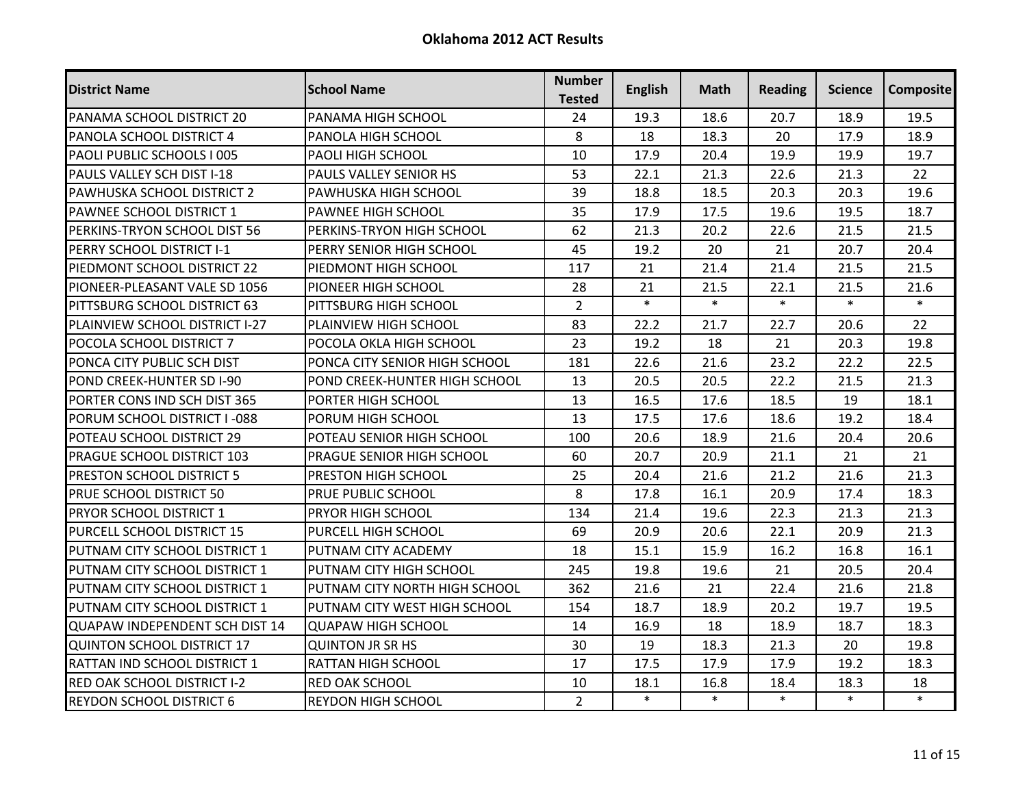| <b>District Name</b>                  | <b>School Name</b>            | <b>Number</b><br><b>Tested</b> | <b>English</b> | Math   | <b>Reading</b> | Science | <b>Composite</b> |
|---------------------------------------|-------------------------------|--------------------------------|----------------|--------|----------------|---------|------------------|
| PANAMA SCHOOL DISTRICT 20             | PANAMA HIGH SCHOOL            | 24                             | 19.3           | 18.6   | 20.7           | 18.9    | 19.5             |
| PANOLA SCHOOL DISTRICT 4              | PANOLA HIGH SCHOOL            | 8                              | 18             | 18.3   | 20             | 17.9    | 18.9             |
| PAOLI PUBLIC SCHOOLS I 005            | PAOLI HIGH SCHOOL             | 10                             | 17.9           | 20.4   | 19.9           | 19.9    | 19.7             |
| PAULS VALLEY SCH DIST I-18            | PAULS VALLEY SENIOR HS        | 53                             | 22.1           | 21.3   | 22.6           | 21.3    | 22               |
| PAWHUSKA SCHOOL DISTRICT 2            | PAWHUSKA HIGH SCHOOL          | 39                             | 18.8           | 18.5   | 20.3           | 20.3    | 19.6             |
| PAWNEE SCHOOL DISTRICT 1              | PAWNEE HIGH SCHOOL            | 35                             | 17.9           | 17.5   | 19.6           | 19.5    | 18.7             |
| PERKINS-TRYON SCHOOL DIST 56          | PERKINS-TRYON HIGH SCHOOL     | 62                             | 21.3           | 20.2   | 22.6           | 21.5    | 21.5             |
| PERRY SCHOOL DISTRICT I-1             | PERRY SENIOR HIGH SCHOOL      | 45                             | 19.2           | 20     | 21             | 20.7    | 20.4             |
| PIEDMONT SCHOOL DISTRICT 22           | PIEDMONT HIGH SCHOOL          | 117                            | 21             | 21.4   | 21.4           | 21.5    | 21.5             |
| PIONEER-PLEASANT VALE SD 1056         | PIONEER HIGH SCHOOL           | 28                             | 21             | 21.5   | 22.1           | 21.5    | 21.6             |
| PITTSBURG SCHOOL DISTRICT 63          | PITTSBURG HIGH SCHOOL         | $\overline{2}$                 | $\ast$         | $\ast$ | $\ast$         | $\ast$  | $\ast$           |
| PLAINVIEW SCHOOL DISTRICT I-27        | PLAINVIEW HIGH SCHOOL         | 83                             | 22.2           | 21.7   | 22.7           | 20.6    | 22               |
| POCOLA SCHOOL DISTRICT 7              | POCOLA OKLA HIGH SCHOOL       | 23                             | 19.2           | 18     | 21             | 20.3    | 19.8             |
| PONCA CITY PUBLIC SCH DIST            | PONCA CITY SENIOR HIGH SCHOOL | 181                            | 22.6           | 21.6   | 23.2           | 22.2    | 22.5             |
| POND CREEK-HUNTER SD I-90             | POND CREEK-HUNTER HIGH SCHOOL | 13                             | 20.5           | 20.5   | 22.2           | 21.5    | 21.3             |
| PORTER CONS IND SCH DIST 365          | PORTER HIGH SCHOOL            | 13                             | 16.5           | 17.6   | 18.5           | 19      | 18.1             |
| PORUM SCHOOL DISTRICT I-088           | PORUM HIGH SCHOOL             | 13                             | 17.5           | 17.6   | 18.6           | 19.2    | 18.4             |
| POTEAU SCHOOL DISTRICT 29             | POTEAU SENIOR HIGH SCHOOL     | 100                            | 20.6           | 18.9   | 21.6           | 20.4    | 20.6             |
| PRAGUE SCHOOL DISTRICT 103            | PRAGUE SENIOR HIGH SCHOOL     | 60                             | 20.7           | 20.9   | 21.1           | 21      | 21               |
| <b>PRESTON SCHOOL DISTRICT 5</b>      | PRESTON HIGH SCHOOL           | 25                             | 20.4           | 21.6   | 21.2           | 21.6    | 21.3             |
| PRUE SCHOOL DISTRICT 50               | PRUE PUBLIC SCHOOL            | 8                              | 17.8           | 16.1   | 20.9           | 17.4    | 18.3             |
| PRYOR SCHOOL DISTRICT 1               | PRYOR HIGH SCHOOL             | 134                            | 21.4           | 19.6   | 22.3           | 21.3    | 21.3             |
| PURCELL SCHOOL DISTRICT 15            | PURCELL HIGH SCHOOL           | 69                             | 20.9           | 20.6   | 22.1           | 20.9    | 21.3             |
| PUTNAM CITY SCHOOL DISTRICT 1         | PUTNAM CITY ACADEMY           | 18                             | 15.1           | 15.9   | 16.2           | 16.8    | 16.1             |
| PUTNAM CITY SCHOOL DISTRICT 1         | PUTNAM CITY HIGH SCHOOL       | 245                            | 19.8           | 19.6   | 21             | 20.5    | 20.4             |
| PUTNAM CITY SCHOOL DISTRICT 1         | PUTNAM CITY NORTH HIGH SCHOOL | 362                            | 21.6           | 21     | 22.4           | 21.6    | 21.8             |
| PUTNAM CITY SCHOOL DISTRICT 1         | PUTNAM CITY WEST HIGH SCHOOL  | 154                            | 18.7           | 18.9   | 20.2           | 19.7    | 19.5             |
| <b>QUAPAW INDEPENDENT SCH DIST 14</b> | <b>QUAPAW HIGH SCHOOL</b>     | 14                             | 16.9           | 18     | 18.9           | 18.7    | 18.3             |
| <b>QUINTON SCHOOL DISTRICT 17</b>     | <b>QUINTON JR SR HS</b>       | 30                             | 19             | 18.3   | 21.3           | 20      | 19.8             |
| RATTAN IND SCHOOL DISTRICT 1          | RATTAN HIGH SCHOOL            | 17                             | 17.5           | 17.9   | 17.9           | 19.2    | 18.3             |
| <b>RED OAK SCHOOL DISTRICT I-2</b>    | <b>RED OAK SCHOOL</b>         | 10                             | 18.1           | 16.8   | 18.4           | 18.3    | 18               |
| <b>REYDON SCHOOL DISTRICT 6</b>       | <b>REYDON HIGH SCHOOL</b>     | $2^{\circ}$                    | $\ast$         | $\ast$ | $\ast$         | $\ast$  | $\ast$           |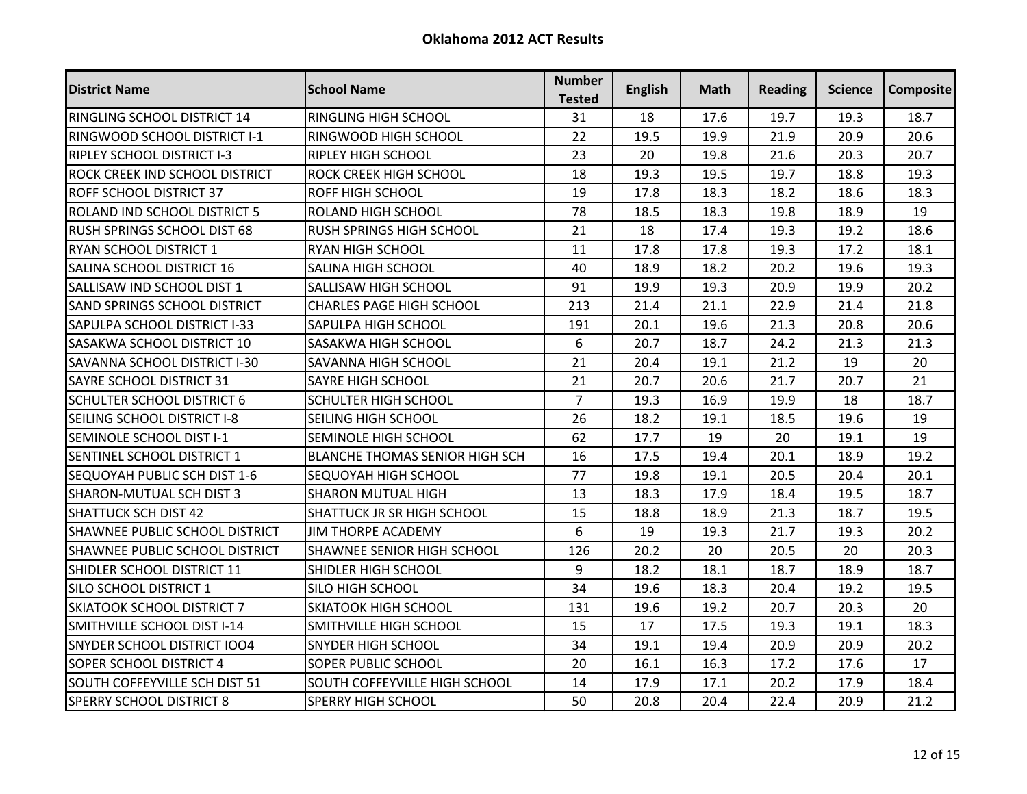| <b>District Name</b>                  | <b>School Name</b>                    | <b>Number</b><br><b>Tested</b> | <b>English</b> | Math | <b>Reading</b> | Science | <b>Composite</b> |
|---------------------------------------|---------------------------------------|--------------------------------|----------------|------|----------------|---------|------------------|
| RINGLING SCHOOL DISTRICT 14           | <b>RINGLING HIGH SCHOOL</b>           | 31                             | 18             | 17.6 | 19.7           | 19.3    | 18.7             |
| RINGWOOD SCHOOL DISTRICT I-1          | RINGWOOD HIGH SCHOOL                  | 22                             | 19.5           | 19.9 | 21.9           | 20.9    | 20.6             |
| <b>RIPLEY SCHOOL DISTRICT I-3</b>     | <b>RIPLEY HIGH SCHOOL</b>             | 23                             | 20             | 19.8 | 21.6           | 20.3    | 20.7             |
| ROCK CREEK IND SCHOOL DISTRICT        | ROCK CREEK HIGH SCHOOL                | 18                             | 19.3           | 19.5 | 19.7           | 18.8    | 19.3             |
| <b>ROFF SCHOOL DISTRICT 37</b>        | <b>ROFF HIGH SCHOOL</b>               | 19                             | 17.8           | 18.3 | 18.2           | 18.6    | 18.3             |
| ROLAND IND SCHOOL DISTRICT 5          | ROLAND HIGH SCHOOL                    | 78                             | 18.5           | 18.3 | 19.8           | 18.9    | 19               |
| RUSH SPRINGS SCHOOL DIST 68           | <b>RUSH SPRINGS HIGH SCHOOL</b>       | 21                             | 18             | 17.4 | 19.3           | 19.2    | 18.6             |
| IRYAN SCHOOL DISTRICT 1               | <b>RYAN HIGH SCHOOL</b>               | 11                             | 17.8           | 17.8 | 19.3           | 17.2    | 18.1             |
| <b>SALINA SCHOOL DISTRICT 16</b>      | SALINA HIGH SCHOOL                    | 40                             | 18.9           | 18.2 | 20.2           | 19.6    | 19.3             |
| SALLISAW IND SCHOOL DIST 1            | SALLISAW HIGH SCHOOL                  | 91                             | 19.9           | 19.3 | 20.9           | 19.9    | 20.2             |
| <b>SAND SPRINGS SCHOOL DISTRICT</b>   | <b>CHARLES PAGE HIGH SCHOOL</b>       | 213                            | 21.4           | 21.1 | 22.9           | 21.4    | 21.8             |
| SAPULPA SCHOOL DISTRICT I-33          | SAPULPA HIGH SCHOOL                   | 191                            | 20.1           | 19.6 | 21.3           | 20.8    | 20.6             |
| <b>SASAKWA SCHOOL DISTRICT 10</b>     | SASAKWA HIGH SCHOOL                   | 6                              | 20.7           | 18.7 | 24.2           | 21.3    | 21.3             |
| SAVANNA SCHOOL DISTRICT I-30          | SAVANNA HIGH SCHOOL                   | 21                             | 20.4           | 19.1 | 21.2           | 19      | 20               |
| <b>SAYRE SCHOOL DISTRICT 31</b>       | <b>SAYRE HIGH SCHOOL</b>              | 21                             | 20.7           | 20.6 | 21.7           | 20.7    | 21               |
| <b>SCHULTER SCHOOL DISTRICT 6</b>     | <b>SCHULTER HIGH SCHOOL</b>           | $\overline{7}$                 | 19.3           | 16.9 | 19.9           | 18      | 18.7             |
| SEILING SCHOOL DISTRICT I-8           | SEILING HIGH SCHOOL                   | 26                             | 18.2           | 19.1 | 18.5           | 19.6    | 19               |
| SEMINOLE SCHOOL DIST I-1              | SEMINOLE HIGH SCHOOL                  | 62                             | 17.7           | 19   | 20             | 19.1    | 19               |
| SENTINEL SCHOOL DISTRICT 1            | <b>BLANCHE THOMAS SENIOR HIGH SCH</b> | 16                             | 17.5           | 19.4 | 20.1           | 18.9    | 19.2             |
| SEQUOYAH PUBLIC SCH DIST 1-6          | SEQUOYAH HIGH SCHOOL                  | 77                             | 19.8           | 19.1 | 20.5           | 20.4    | 20.1             |
| <b>SHARON-MUTUAL SCH DIST 3</b>       | <b>SHARON MUTUAL HIGH</b>             | 13                             | 18.3           | 17.9 | 18.4           | 19.5    | 18.7             |
| <b>SHATTUCK SCH DIST 42</b>           | SHATTUCK JR SR HIGH SCHOOL            | 15                             | 18.8           | 18.9 | 21.3           | 18.7    | 19.5             |
| SHAWNEE PUBLIC SCHOOL DISTRICT        | <b>JIM THORPE ACADEMY</b>             | 6                              | 19             | 19.3 | 21.7           | 19.3    | 20.2             |
| <b>SHAWNEE PUBLIC SCHOOL DISTRICT</b> | SHAWNEE SENIOR HIGH SCHOOL            | 126                            | 20.2           | 20   | 20.5           | 20      | 20.3             |
| SHIDLER SCHOOL DISTRICT 11            | SHIDLER HIGH SCHOOL                   | 9                              | 18.2           | 18.1 | 18.7           | 18.9    | 18.7             |
| SILO SCHOOL DISTRICT 1                | SILO HIGH SCHOOL                      | 34                             | 19.6           | 18.3 | 20.4           | 19.2    | 19.5             |
| <b>SKIATOOK SCHOOL DISTRICT 7</b>     | <b>SKIATOOK HIGH SCHOOL</b>           | 131                            | 19.6           | 19.2 | 20.7           | 20.3    | 20               |
| <b>SMITHVILLE SCHOOL DIST I-14</b>    | SMITHVILLE HIGH SCHOOL                | 15                             | 17             | 17.5 | 19.3           | 19.1    | 18.3             |
| <b>SNYDER SCHOOL DISTRICT IOO4</b>    | <b>SNYDER HIGH SCHOOL</b>             | 34                             | 19.1           | 19.4 | 20.9           | 20.9    | 20.2             |
| SOPER SCHOOL DISTRICT 4               | <b>SOPER PUBLIC SCHOOL</b>            | 20                             | 16.1           | 16.3 | 17.2           | 17.6    | 17               |
| <b>SOUTH COFFEYVILLE SCH DIST 51</b>  | SOUTH COFFEYVILLE HIGH SCHOOL         | 14                             | 17.9           | 17.1 | 20.2           | 17.9    | 18.4             |
| <b>SPERRY SCHOOL DISTRICT 8</b>       | SPERRY HIGH SCHOOL                    | 50                             | 20.8           | 20.4 | 22.4           | 20.9    | 21.2             |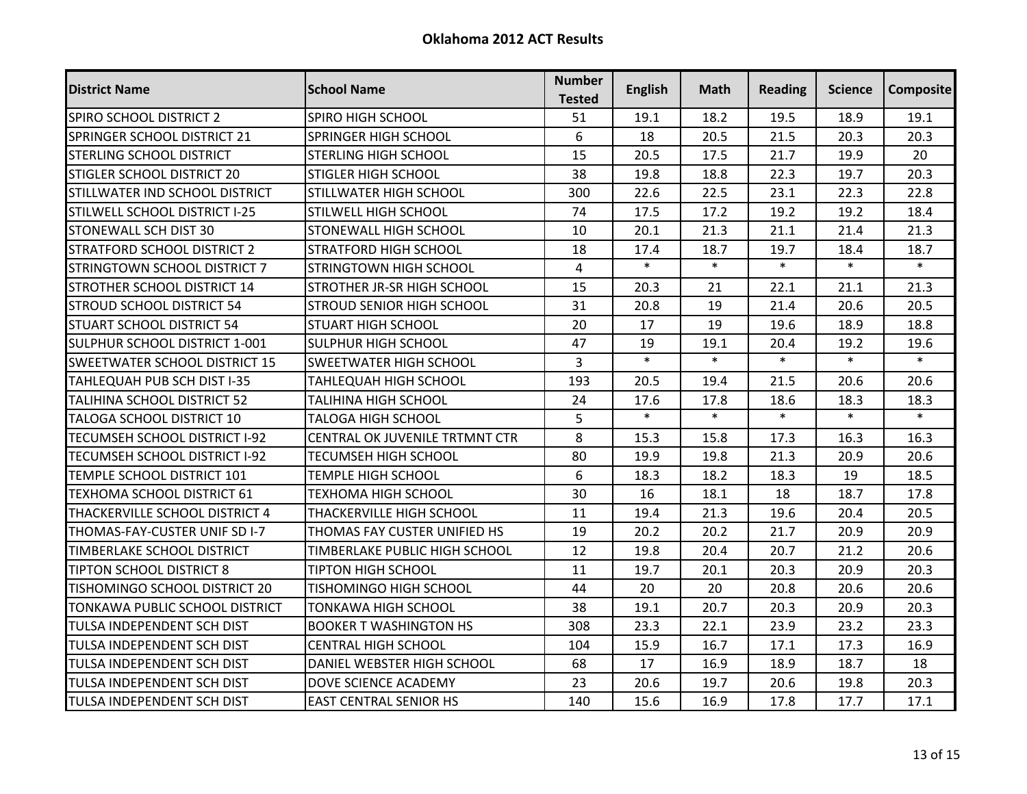| <b>District Name</b>                 | <b>School Name</b>             | <b>Number</b><br><b>Tested</b> | <b>English</b> | Math   | <b>Reading</b> | Science | <b>Composite</b> |
|--------------------------------------|--------------------------------|--------------------------------|----------------|--------|----------------|---------|------------------|
| SPIRO SCHOOL DISTRICT 2              | SPIRO HIGH SCHOOL              | 51                             | 19.1           | 18.2   | 19.5           | 18.9    | 19.1             |
| SPRINGER SCHOOL DISTRICT 21          | SPRINGER HIGH SCHOOL           | 6                              | 18             | 20.5   | 21.5           | 20.3    | 20.3             |
| <b>STERLING SCHOOL DISTRICT</b>      | <b>STERLING HIGH SCHOOL</b>    | 15                             | 20.5           | 17.5   | 21.7           | 19.9    | 20               |
| STIGLER SCHOOL DISTRICT 20           | <b>STIGLER HIGH SCHOOL</b>     | 38                             | 19.8           | 18.8   | 22.3           | 19.7    | 20.3             |
| STILLWATER IND SCHOOL DISTRICT       | STILLWATER HIGH SCHOOL         | 300                            | 22.6           | 22.5   | 23.1           | 22.3    | 22.8             |
| STILWELL SCHOOL DISTRICT I-25        | STILWELL HIGH SCHOOL           | 74                             | 17.5           | 17.2   | 19.2           | 19.2    | 18.4             |
| <b>STONEWALL SCH DIST 30</b>         | STONEWALL HIGH SCHOOL          | 10                             | 20.1           | 21.3   | 21.1           | 21.4    | 21.3             |
| <b>STRATFORD SCHOOL DISTRICT 2</b>   | <b>STRATFORD HIGH SCHOOL</b>   | 18                             | 17.4           | 18.7   | 19.7           | 18.4    | 18.7             |
| STRINGTOWN SCHOOL DISTRICT 7         | STRINGTOWN HIGH SCHOOL         | $\overline{4}$                 | $\ast$         | $\ast$ | $\ast$         | $\ast$  | $\ast$           |
| ISTROTHER SCHOOL DISTRICT 14         | STROTHER JR-SR HIGH SCHOOL     | 15                             | 20.3           | 21     | 22.1           | 21.1    | 21.3             |
| <b>STROUD SCHOOL DISTRICT 54</b>     | STROUD SENIOR HIGH SCHOOL      | 31                             | 20.8           | 19     | 21.4           | 20.6    | 20.5             |
| <b>STUART SCHOOL DISTRICT 54</b>     | <b>STUART HIGH SCHOOL</b>      | 20                             | 17             | 19     | 19.6           | 18.9    | 18.8             |
| SULPHUR SCHOOL DISTRICT 1-001        | <b>SULPHUR HIGH SCHOOL</b>     | 47                             | 19             | 19.1   | 20.4           | 19.2    | 19.6             |
| <b>SWEETWATER SCHOOL DISTRICT 15</b> | SWEETWATER HIGH SCHOOL         | $\overline{3}$                 | $\ast$         | $\ast$ | $\ast$         | $\ast$  | $\ast$           |
| TAHLEQUAH PUB SCH DIST I-35          | <b>TAHLEQUAH HIGH SCHOOL</b>   | 193                            | 20.5           | 19.4   | 21.5           | 20.6    | 20.6             |
| <b>TALIHINA SCHOOL DISTRICT 52</b>   | <b>TALIHINA HIGH SCHOOL</b>    | 24                             | 17.6           | 17.8   | 18.6           | 18.3    | 18.3             |
| <b>TALOGA SCHOOL DISTRICT 10</b>     | <b>TALOGA HIGH SCHOOL</b>      | 5                              | $\ast$         | $\ast$ | $\ast$         | $\ast$  | $\ast$           |
| TECUMSEH SCHOOL DISTRICT I-92        | CENTRAL OK JUVENILE TRTMNT CTR | 8                              | 15.3           | 15.8   | 17.3           | 16.3    | 16.3             |
| TECUMSEH SCHOOL DISTRICT I-92        | <b>TECUMSEH HIGH SCHOOL</b>    | 80                             | 19.9           | 19.8   | 21.3           | 20.9    | 20.6             |
| TEMPLE SCHOOL DISTRICT 101           | <b>TEMPLE HIGH SCHOOL</b>      | 6                              | 18.3           | 18.2   | 18.3           | 19      | 18.5             |
| TEXHOMA SCHOOL DISTRICT 61           | <b>TEXHOMA HIGH SCHOOL</b>     | 30                             | 16             | 18.1   | 18             | 18.7    | 17.8             |
| THACKERVILLE SCHOOL DISTRICT 4       | THACKERVILLE HIGH SCHOOL       | 11                             | 19.4           | 21.3   | 19.6           | 20.4    | 20.5             |
| THOMAS-FAY-CUSTER UNIF SD I-7        | THOMAS FAY CUSTER UNIFIED HS   | 19                             | 20.2           | 20.2   | 21.7           | 20.9    | 20.9             |
| <b>TIMBERLAKE SCHOOL DISTRICT</b>    | TIMBERLAKE PUBLIC HIGH SCHOOL  | 12                             | 19.8           | 20.4   | 20.7           | 21.2    | 20.6             |
| <b>TIPTON SCHOOL DISTRICT 8</b>      | <b>TIPTON HIGH SCHOOL</b>      | 11                             | 19.7           | 20.1   | 20.3           | 20.9    | 20.3             |
| <b>TISHOMINGO SCHOOL DISTRICT 20</b> | TISHOMINGO HIGH SCHOOL         | 44                             | 20             | 20     | 20.8           | 20.6    | 20.6             |
| TONKAWA PUBLIC SCHOOL DISTRICT       | <b>TONKAWA HIGH SCHOOL</b>     | 38                             | 19.1           | 20.7   | 20.3           | 20.9    | 20.3             |
| <b>TULSA INDEPENDENT SCH DIST</b>    | <b>BOOKER T WASHINGTON HS</b>  | 308                            | 23.3           | 22.1   | 23.9           | 23.2    | 23.3             |
| <b>TULSA INDEPENDENT SCH DIST</b>    | <b>CENTRAL HIGH SCHOOL</b>     | 104                            | 15.9           | 16.7   | 17.1           | 17.3    | 16.9             |
| <b>TULSA INDEPENDENT SCH DIST</b>    | DANIEL WEBSTER HIGH SCHOOL     | 68                             | 17             | 16.9   | 18.9           | 18.7    | 18               |
| <b>TULSA INDEPENDENT SCH DIST</b>    | DOVE SCIENCE ACADEMY           | 23                             | 20.6           | 19.7   | 20.6           | 19.8    | 20.3             |
| <b>TULSA INDEPENDENT SCH DIST</b>    | <b>EAST CENTRAL SENIOR HS</b>  | 140                            | 15.6           | 16.9   | 17.8           | 17.7    | 17.1             |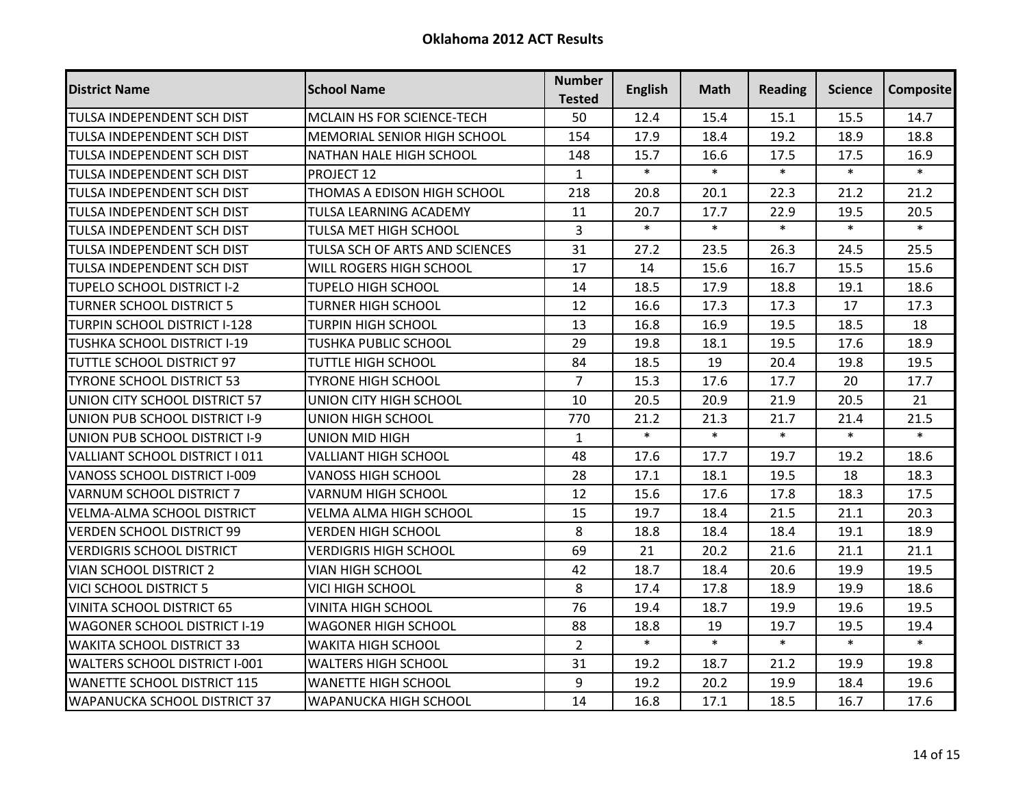| <b>District Name</b>                 | <b>School Name</b>                 | <b>Number</b><br><b>Tested</b> | <b>English</b> | <b>Math</b> | <b>Reading</b> | <b>Science</b> | <b>Composite</b> |
|--------------------------------------|------------------------------------|--------------------------------|----------------|-------------|----------------|----------------|------------------|
| TULSA INDEPENDENT SCH DIST           | MCLAIN HS FOR SCIENCE-TECH         | 50                             | 12.4           | 15.4        | 15.1           | 15.5           | 14.7             |
| TULSA INDEPENDENT SCH DIST           | <b>MEMORIAL SENIOR HIGH SCHOOL</b> | 154                            | 17.9           | 18.4        | 19.2           | 18.9           | 18.8             |
| TULSA INDEPENDENT SCH DIST           | NATHAN HALE HIGH SCHOOL            | 148                            | 15.7           | 16.6        | 17.5           | 17.5           | 16.9             |
| TULSA INDEPENDENT SCH DIST           | PROJECT 12                         | $\mathbf{1}$                   | $\ast$         | $\ast$      | $\ast$         | $\ast$         | $\ast$           |
| TULSA INDEPENDENT SCH DIST           | THOMAS A EDISON HIGH SCHOOL        | 218                            | 20.8           | 20.1        | 22.3           | 21.2           | 21.2             |
| TULSA INDEPENDENT SCH DIST           | TULSA LEARNING ACADEMY             | 11                             | 20.7           | 17.7        | 22.9           | 19.5           | 20.5             |
| TULSA INDEPENDENT SCH DIST           | TULSA MET HIGH SCHOOL              | 3                              | $\ast$         | $\ast$      | $\ast$         | $\ast$         | $\ast$           |
| TULSA INDEPENDENT SCH DIST           | TULSA SCH OF ARTS AND SCIENCES     | 31                             | 27.2           | 23.5        | 26.3           | 24.5           | 25.5             |
| TULSA INDEPENDENT SCH DIST           | WILL ROGERS HIGH SCHOOL            | 17                             | 14             | 15.6        | 16.7           | 15.5           | 15.6             |
| TUPELO SCHOOL DISTRICT I-2           | <b>TUPELO HIGH SCHOOL</b>          | 14                             | 18.5           | 17.9        | 18.8           | 19.1           | 18.6             |
| <b>TURNER SCHOOL DISTRICT 5</b>      | <b>TURNER HIGH SCHOOL</b>          | 12                             | 16.6           | 17.3        | 17.3           | 17             | 17.3             |
| <b>TURPIN SCHOOL DISTRICT I-128</b>  | <b>TURPIN HIGH SCHOOL</b>          | 13                             | 16.8           | 16.9        | 19.5           | 18.5           | 18               |
| TUSHKA SCHOOL DISTRICT I-19          | <b>TUSHKA PUBLIC SCHOOL</b>        | 29                             | 19.8           | 18.1        | 19.5           | 17.6           | 18.9             |
| TUTTLE SCHOOL DISTRICT 97            | <b>TUTTLE HIGH SCHOOL</b>          | 84                             | 18.5           | 19          | 20.4           | 19.8           | 19.5             |
| TYRONE SCHOOL DISTRICT 53            | <b>TYRONE HIGH SCHOOL</b>          | $\overline{7}$                 | 15.3           | 17.6        | 17.7           | 20             | 17.7             |
| UNION CITY SCHOOL DISTRICT 57        | UNION CITY HIGH SCHOOL             | 10                             | 20.5           | 20.9        | 21.9           | 20.5           | 21               |
| UNION PUB SCHOOL DISTRICT I-9        | <b>UNION HIGH SCHOOL</b>           | 770                            | 21.2           | 21.3        | 21.7           | 21.4           | 21.5             |
| UNION PUB SCHOOL DISTRICT I-9        | <b>UNION MID HIGH</b>              | $\mathbf{1}$                   | $\ast$         | $\ast$      | $\ast$         | $\ast$         | $\ast$           |
| VALLIANT SCHOOL DISTRICT I 011       | <b>VALLIANT HIGH SCHOOL</b>        | 48                             | 17.6           | 17.7        | 19.7           | 19.2           | 18.6             |
| VANOSS SCHOOL DISTRICT I-009         | <b>VANOSS HIGH SCHOOL</b>          | 28                             | 17.1           | 18.1        | 19.5           | 18             | 18.3             |
| <b>VARNUM SCHOOL DISTRICT 7</b>      | <b>VARNUM HIGH SCHOOL</b>          | 12                             | 15.6           | 17.6        | 17.8           | 18.3           | 17.5             |
| <b>VELMA-ALMA SCHOOL DISTRICT</b>    | VELMA ALMA HIGH SCHOOL             | 15                             | 19.7           | 18.4        | 21.5           | 21.1           | 20.3             |
| <b>VERDEN SCHOOL DISTRICT 99</b>     | <b>VERDEN HIGH SCHOOL</b>          | 8                              | 18.8           | 18.4        | 18.4           | 19.1           | 18.9             |
| <b>VERDIGRIS SCHOOL DISTRICT</b>     | <b>VERDIGRIS HIGH SCHOOL</b>       | 69                             | 21             | 20.2        | 21.6           | 21.1           | 21.1             |
| VIAN SCHOOL DISTRICT 2               | <b>VIAN HIGH SCHOOL</b>            | 42                             | 18.7           | 18.4        | 20.6           | 19.9           | 19.5             |
| <b>VICI SCHOOL DISTRICT 5</b>        | <b>VICI HIGH SCHOOL</b>            | 8                              | 17.4           | 17.8        | 18.9           | 19.9           | 18.6             |
| <b>VINITA SCHOOL DISTRICT 65</b>     | <b>VINITA HIGH SCHOOL</b>          | 76                             | 19.4           | 18.7        | 19.9           | 19.6           | 19.5             |
| <b>WAGONER SCHOOL DISTRICT I-19</b>  | <b>WAGONER HIGH SCHOOL</b>         | 88                             | 18.8           | 19          | 19.7           | 19.5           | 19.4             |
| <b>WAKITA SCHOOL DISTRICT 33</b>     | <b>WAKITA HIGH SCHOOL</b>          | $\overline{2}$                 | $\ast$         | $\ast$      | $\ast$         | $\ast$         | $\ast$           |
| <b>WALTERS SCHOOL DISTRICT I-001</b> | <b>WALTERS HIGH SCHOOL</b>         | 31                             | 19.2           | 18.7        | 21.2           | 19.9           | 19.8             |
| <b>WANETTE SCHOOL DISTRICT 115</b>   | <b>WANETTE HIGH SCHOOL</b>         | 9                              | 19.2           | 20.2        | 19.9           | 18.4           | 19.6             |
| <b>WAPANUCKA SCHOOL DISTRICT 37</b>  | <b>WAPANUCKA HIGH SCHOOL</b>       | 14                             | 16.8           | 17.1        | 18.5           | 16.7           | 17.6             |